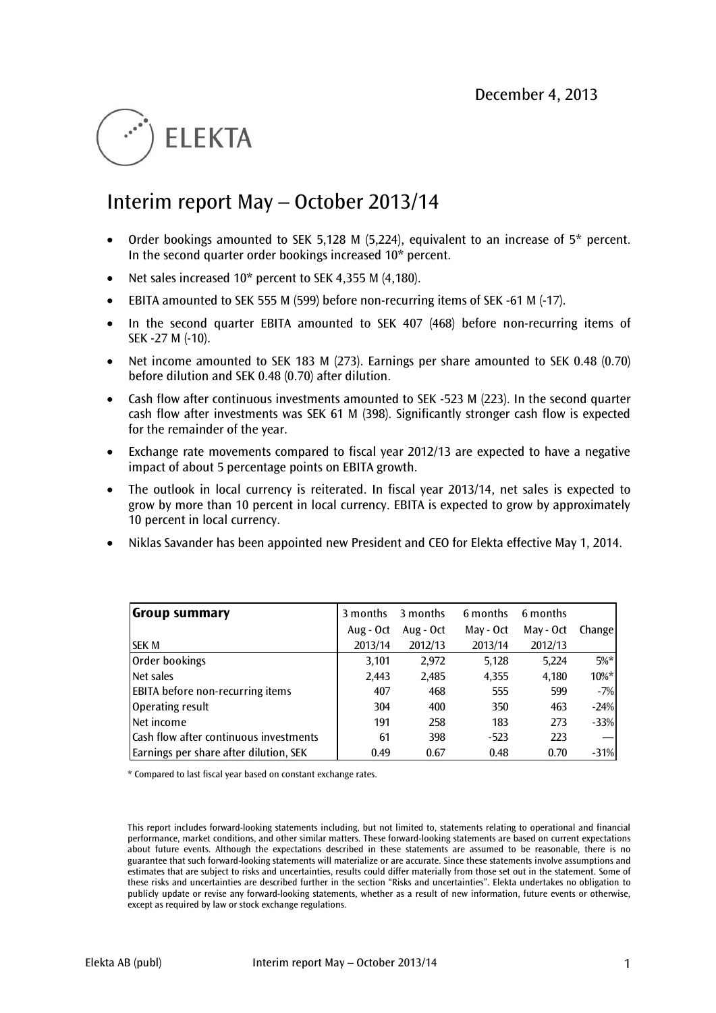# **FI FKTA**

## Interim report May – October 2013/14

- Order bookings amounted to SEK 5,128 M (5,224), equivalent to an increase of 5\* percent. In the second quarter order bookings increased 10\* percent.
- Net sales increased 10\* percent to SEK 4,355 M (4,180).
- EBITA amounted to SEK 555 M (599) before non-recurring items of SEK -61 M (-17).
- In the second quarter EBITA amounted to SEK 407 (468) before non-recurring items of SEK -27 M (-10).
- Net income amounted to SEK 183 M (273). Earnings per share amounted to SEK 0.48 (0.70) before dilution and SEK 0.48 (0.70) after dilution.
- Cash flow after continuous investments amounted to SEK -523 M (223). In the second quarter cash flow after investments was SEK 61 M (398). Significantly stronger cash flow is expected for the remainder of the year.
- Exchange rate movements compared to fiscal year 2012/13 are expected to have a negative impact of about 5 percentage points on EBITA growth.
- The outlook in local currency is reiterated. In fiscal year 2013/14, net sales is expected to grow by more than 10 percent in local currency. EBITA is expected to grow by approximately 10 percent in local currency.
- Niklas Savander has been appointed new President and CEO for Elekta effective May 1, 2014.

| Group summary                           | 3 months  | 3 months  | 6 months  | 6 months  |          |
|-----------------------------------------|-----------|-----------|-----------|-----------|----------|
|                                         | Aug - Oct | Aug - Oct | May - Oct | May - Oct | Change   |
| <b>SEK M</b>                            | 2013/14   | 2012/13   | 2013/14   | 2012/13   |          |
| Order bookings                          | 3,101     | 2,972     | 5,128     | 5,224     | $5\%*$   |
| Net sales                               | 2,443     | 2,485     | 4,355     | 4,180     | $10\%$ * |
| <b>EBITA</b> before non-recurring items | 407       | 468       | 555       | 599       | $-7%$    |
| Operating result                        | 304       | 400       | 350       | 463       | $-24%$   |
| INet income                             | 191       | 258       | 183       | 273       | $-33%$   |
| lCash flow after continuous investments | 61        | 398       | $-523$    | 223       |          |
| Earnings per share after dilution, SEK  | 0.49      | 0.67      | 0.48      | 0.70      | $-31%$   |

\* Compared to last fiscal year based on constant exchange rates.

This report includes forward-looking statements including, but not limited to, statements relating to operational and financial performance, market conditions, and other similar matters. These forward-looking statements are based on current expectations about future events. Although the expectations described in these statements are assumed to be reasonable, there is no guarantee that such forward-looking statements will materialize or are accurate. Since these statements involve assumptions and estimates that are subject to risks and uncertainties, results could differ materially from those set out in the statement. Some of these risks and uncertainties are described further in the section "Risks and uncertainties". Elekta undertakes no obligation to publicly update or revise any forward-looking statements, whether as a result of new information, future events or otherwise, except as required by law or stock exchange regulations.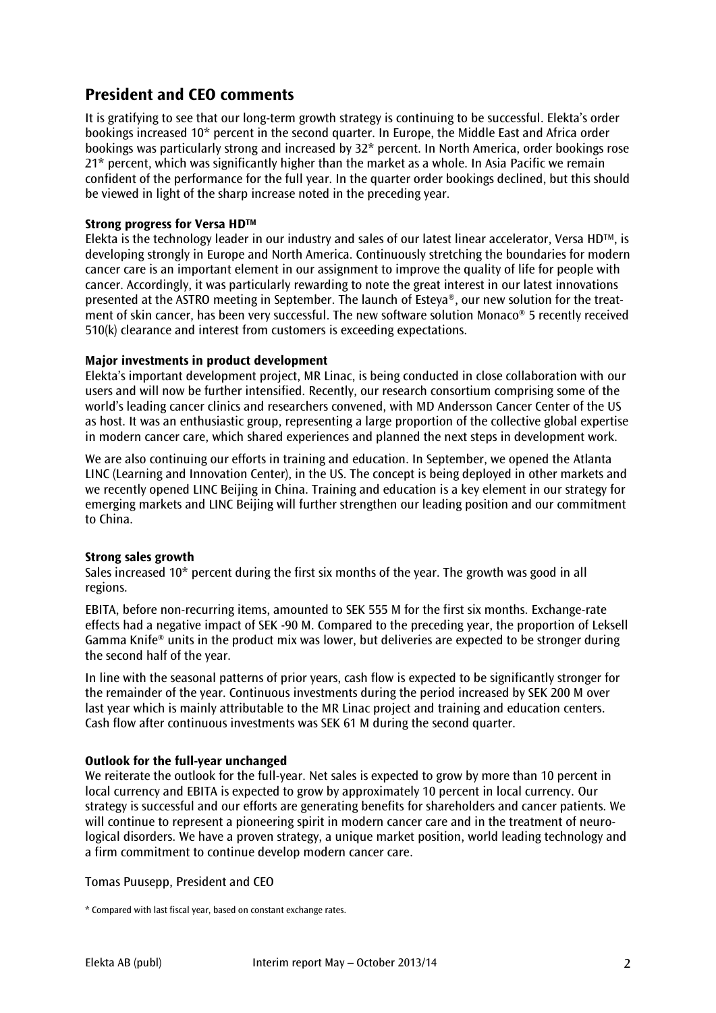### **President and CEO comments**

It is gratifying to see that our long-term growth strategy is continuing to be successful. Elekta's order bookings increased 10\* percent in the second quarter. In Europe, the Middle East and Africa order bookings was particularly strong and increased by 32\* percent. In North America, order bookings rose 21\* percent, which was significantly higher than the market as a whole. In Asia Pacific we remain confident of the performance for the full year. In the quarter order bookings declined, but this should be viewed in light of the sharp increase noted in the preceding year.

#### **Strong progress for Versa HDTM**

Elekta is the technology leader in our industry and sales of our latest linear accelerator, Versa  $HD^{TM}$ , is developing strongly in Europe and North America. Continuously stretching the boundaries for modern cancer care is an important element in our assignment to improve the quality of life for people with cancer. Accordingly, it was particularly rewarding to note the great interest in our latest innovations presented at the ASTRO meeting in September. The launch of Esteya®, our new solution for the treatment of skin cancer, has been very successful. The new software solution Monaco® 5 recently received 510(k) clearance and interest from customers is exceeding expectations.

#### **Major investments in product development**

Elekta's important development project, MR Linac, is being conducted in close collaboration with our users and will now be further intensified. Recently, our research consortium comprising some of the world's leading cancer clinics and researchers convened, with MD Andersson Cancer Center of the US as host. It was an enthusiastic group, representing a large proportion of the collective global expertise in modern cancer care, which shared experiences and planned the next steps in development work.

We are also continuing our efforts in training and education. In September, we opened the Atlanta LINC (Learning and Innovation Center), in the US. The concept is being deployed in other markets and we recently opened LINC Beijing in China. Training and education is a key element in our strategy for emerging markets and LINC Beijing will further strengthen our leading position and our commitment to China.

#### **Strong sales growth**

Sales increased 10\* percent during the first six months of the year. The growth was good in all regions.

EBITA, before non-recurring items, amounted to SEK 555 M for the first six months. Exchange-rate effects had a negative impact of SEK -90 M. Compared to the preceding year, the proportion of Leksell Gamma Knife® units in the product mix was lower, but deliveries are expected to be stronger during the second half of the year.

In line with the seasonal patterns of prior years, cash flow is expected to be significantly stronger for the remainder of the year. Continuous investments during the period increased by SEK 200 M over last year which is mainly attributable to the MR Linac project and training and education centers. Cash flow after continuous investments was SEK 61 M during the second quarter.

#### **Outlook for the full-year unchanged**

We reiterate the outlook for the full-year. Net sales is expected to grow by more than 10 percent in local currency and EBITA is expected to grow by approximately 10 percent in local currency. Our strategy is successful and our efforts are generating benefits for shareholders and cancer patients. We will continue to represent a pioneering spirit in modern cancer care and in the treatment of neurological disorders. We have a proven strategy, a unique market position, world leading technology and a firm commitment to continue develop modern cancer care.

Tomas Puusepp, President and CEO

\* Compared with last fiscal year, based on constant exchange rates.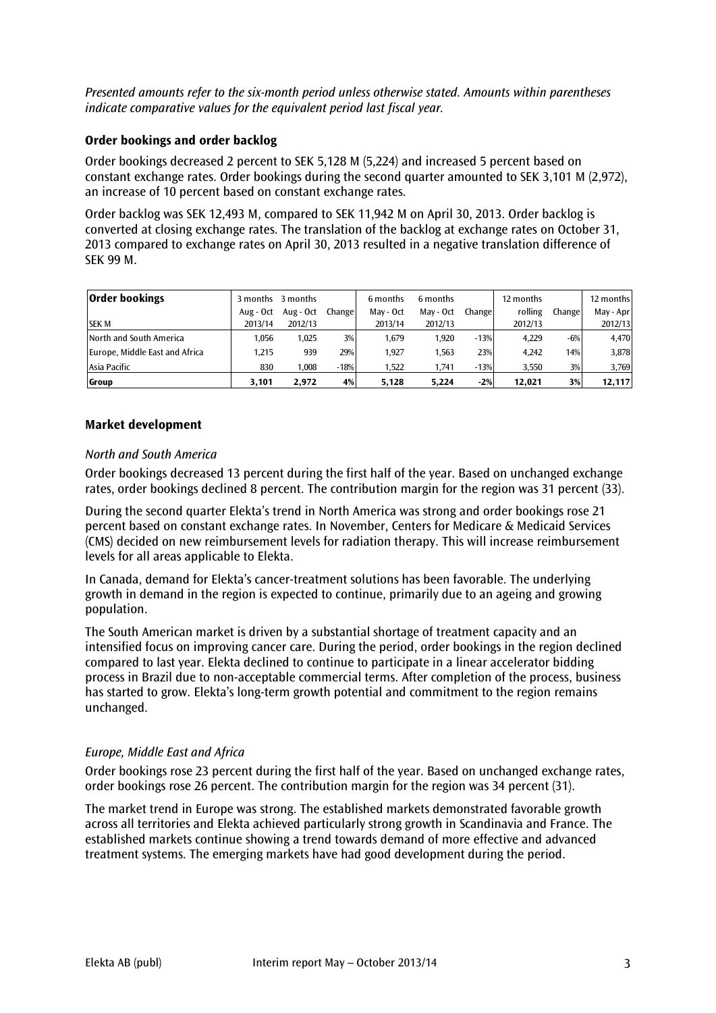*Presented amounts refer to the six-month period unless otherwise stated. Amounts within parentheses indicate comparative values for the equivalent period last fiscal year.* 

#### **Order bookings and order backlog**

Order bookings decreased 2 percent to SEK 5,128 M (5,224) and increased 5 percent based on constant exchange rates. Order bookings during the second quarter amounted to SEK 3,101 M (2,972), an increase of 10 percent based on constant exchange rates.

Order backlog was SEK 12,493 M, compared to SEK 11,942 M on April 30, 2013. Order backlog is converted at closing exchange rates. The translation of the backlog at exchange rates on October 31, 2013 compared to exchange rates on April 30, 2013 resulted in a negative translation difference of SEK 99 M.

| <b>Order bookings</b>          |           | 3 months 3 months |         | 6 months  | 6 months  |         | 12 months |        | 12 months |
|--------------------------------|-----------|-------------------|---------|-----------|-----------|---------|-----------|--------|-----------|
|                                | Aug - Oct | Aug - Oct         | Changel | May - Oct | May - Oct | Changel | rolling   | Change | May - Apr |
| <b>SEK M</b>                   | 2013/14   | 2012/13           |         | 2013/14   | 2012/13   |         | 2012/13   |        | 2012/13   |
| North and South America        | 1,056     | 1,025             | 3%      | 1.679     | 1.920     | $-13%$  | 4.229     | $-6%$  | 4,470     |
| Europe, Middle East and Africa | 1.215     | 939               | 29%     | 1.927     | 1.563     | 23%     | 4.242     | 14%    | 3,878     |
| Asia Pacific                   | 830       | 1,008             | $-18%$  | 1,522     | 1,741     | $-13%$  | 3,550     | 3%     | 3,769     |
| Group                          | 3,101     | 2.972             | 4%      | 5,128     | 5.224     | $-2%$   | 12.021    | 3%     | 12,117    |

#### **Market development**

#### *North and South America*

Order bookings decreased 13 percent during the first half of the year. Based on unchanged exchange rates, order bookings declined 8 percent. The contribution margin for the region was 31 percent (33).

During the second quarter Elekta's trend in North America was strong and order bookings rose 21 percent based on constant exchange rates. In November, Centers for Medicare & Medicaid Services (CMS) decided on new reimbursement levels for radiation therapy. This will increase reimbursement levels for all areas applicable to Elekta.

In Canada, demand for Elekta's cancer-treatment solutions has been favorable. The underlying growth in demand in the region is expected to continue, primarily due to an ageing and growing population.

The South American market is driven by a substantial shortage of treatment capacity and an intensified focus on improving cancer care. During the period, order bookings in the region declined compared to last year. Elekta declined to continue to participate in a linear accelerator bidding process in Brazil due to non-acceptable commercial terms. After completion of the process, business has started to grow. Elekta's long-term growth potential and commitment to the region remains unchanged.

#### *Europe, Middle East and Africa*

Order bookings rose 23 percent during the first half of the year. Based on unchanged exchange rates, order bookings rose 26 percent. The contribution margin for the region was 34 percent (31).

The market trend in Europe was strong. The established markets demonstrated favorable growth across all territories and Elekta achieved particularly strong growth in Scandinavia and France. The established markets continue showing a trend towards demand of more effective and advanced treatment systems. The emerging markets have had good development during the period.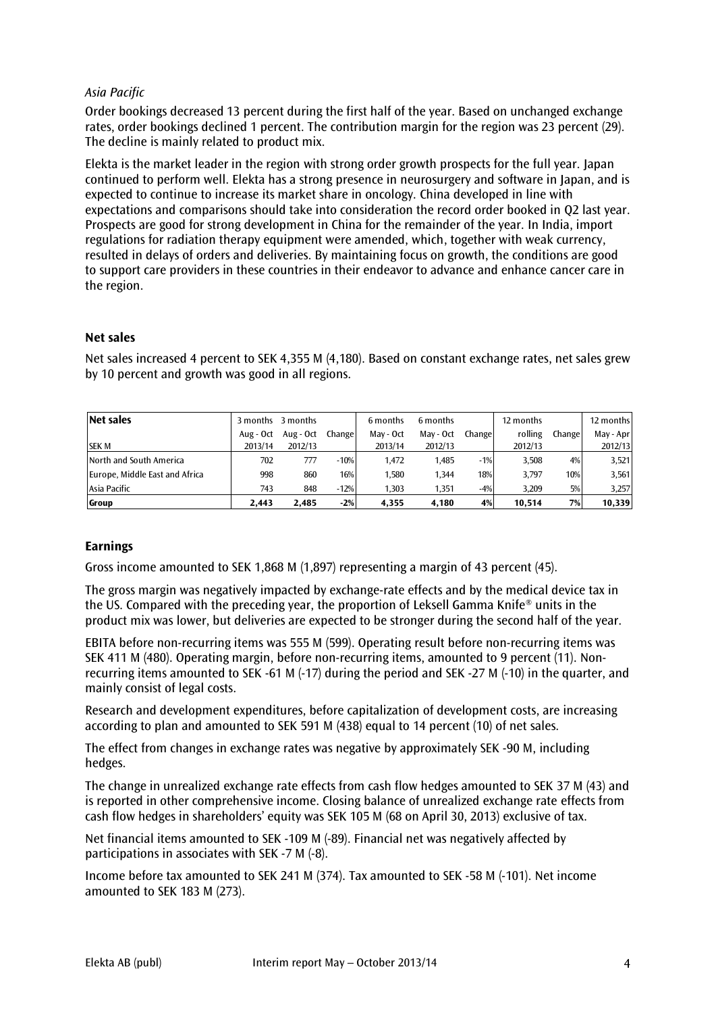#### *Asia Pacific*

Order bookings decreased 13 percent during the first half of the year. Based on unchanged exchange rates, order bookings declined 1 percent. The contribution margin for the region was 23 percent (29). The decline is mainly related to product mix.

Elekta is the market leader in the region with strong order growth prospects for the full year. Japan continued to perform well. Elekta has a strong presence in neurosurgery and software in Japan, and is expected to continue to increase its market share in oncology. China developed in line with expectations and comparisons should take into consideration the record order booked in Q2 last year. Prospects are good for strong development in China for the remainder of the year. In India, import regulations for radiation therapy equipment were amended, which, together with weak currency, resulted in delays of orders and deliveries. By maintaining focus on growth, the conditions are good to support care providers in these countries in their endeavor to advance and enhance cancer care in the region.

#### **Net sales**

Net sales increased 4 percent to SEK 4,355 M (4,180). Based on constant exchange rates, net sales grew by 10 percent and growth was good in all regions.

| Net sales                      | 3 months  | 3 months  |        | 6 months  | 6 months  |         | 12 months |        | 12 months |
|--------------------------------|-----------|-----------|--------|-----------|-----------|---------|-----------|--------|-----------|
|                                | Aug - Oct | Aug - Oct | Change | May - Oct | May - Oct | Changel | rolling   | Change | May - Apr |
| <b>SEK M</b>                   | 2013/14   | 2012/13   |        | 2013/14   | 2012/13   |         | 2012/13   |        | 2012/13   |
| North and South America        | 702       | 777       | $-10%$ | 1.472     | 1.485     | $-1%$   | 3.508     | 4%     | 3,521     |
| Europe, Middle East and Africa | 998       | 860       | 16%    | 1.580     | 1.344     | 18%     | 3.797     | 10%    | 3,561     |
| Asia Pacific                   | 743       | 848       | $-12%$ | 1.303     | 1.351     | $-4%$   | 3.209     | 5%     | 3,257     |
| Group                          | 2.443     | 2.485     | $-2%$  | 4,355     | 4.180     | 4%      | 10.514    | 7%     | 10,339    |

#### **Earnings**

Gross income amounted to SEK 1,868 M (1,897) representing a margin of 43 percent (45).

The gross margin was negatively impacted by exchange-rate effects and by the medical device tax in the US. Compared with the preceding year, the proportion of Leksell Gamma Knife® units in the product mix was lower, but deliveries are expected to be stronger during the second half of the year.

EBITA before non-recurring items was 555 M (599). Operating result before non-recurring items was SEK 411 M (480). Operating margin, before non-recurring items, amounted to 9 percent (11). Nonrecurring items amounted to SEK -61 M (-17) during the period and SEK -27 M (-10) in the quarter, and mainly consist of legal costs.

Research and development expenditures, before capitalization of development costs, are increasing according to plan and amounted to SEK 591 M (438) equal to 14 percent (10) of net sales.

The effect from changes in exchange rates was negative by approximately SEK -90 M, including hedges.

The change in unrealized exchange rate effects from cash flow hedges amounted to SEK 37 M (43) and is reported in other comprehensive income. Closing balance of unrealized exchange rate effects from cash flow hedges in shareholders' equity was SEK 105 M (68 on April 30, 2013) exclusive of tax.

Net financial items amounted to SEK -109 M (-89). Financial net was negatively affected by participations in associates with SEK -7 M (-8).

Income before tax amounted to SEK 241 M (374). Tax amounted to SEK -58 M (-101). Net income amounted to SEK 183 M (273).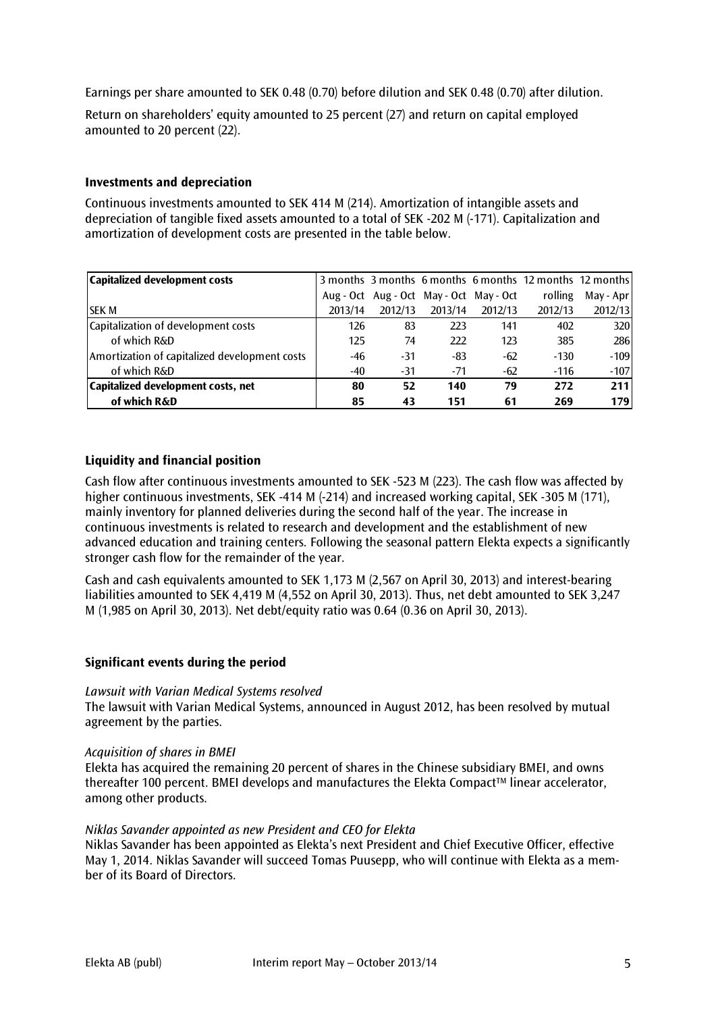Earnings per share amounted to SEK 0.48 (0.70) before dilution and SEK 0.48 (0.70) after dilution.

Return on shareholders' equity amounted to 25 percent (27) and return on capital employed amounted to 20 percent (22).

#### **Investments and depreciation**

Continuous investments amounted to SEK 414 M (214). Amortization of intangible assets and depreciation of tangible fixed assets amounted to a total of SEK -202 M (-171). Capitalization and amortization of development costs are presented in the table below.

| Capitalized development costs                 |         |                                         |         |         | 3 months 3 months 6 months 6 months 12 months 12 months |           |
|-----------------------------------------------|---------|-----------------------------------------|---------|---------|---------------------------------------------------------|-----------|
|                                               |         | Aug - Oct Aug - Oct May - Oct May - Oct |         |         | rolling                                                 | May - Apr |
| <b>SEK M</b>                                  | 2013/14 | 2012/13                                 | 2013/14 | 2012/13 | 2012/13                                                 | 2012/13   |
| Capitalization of development costs           | 126     | 83                                      | 223     | 141     | 402                                                     | 320       |
| of which R&D                                  | 125     | 74                                      | 222     | 123     | 385                                                     | 286       |
| Amortization of capitalized development costs | -46     | $-31$                                   | -83     | $-62$   | $-130$                                                  | $-109$    |
| of which R&D                                  | -40     | $-31$                                   | -71     | $-62$   | $-116$                                                  | $-107$    |
| Capitalized development costs, net            | 80      | 52                                      | 140     | 79      | 272                                                     | 211       |
| of which R&D                                  | 85      | 43                                      | 151     | 61      | 269                                                     | 179       |

#### **Liquidity and financial position**

Cash flow after continuous investments amounted to SEK -523 M (223). The cash flow was affected by higher continuous investments, SEK -414 M (-214) and increased working capital, SEK -305 M (171), mainly inventory for planned deliveries during the second half of the year. The increase in continuous investments is related to research and development and the establishment of new advanced education and training centers. Following the seasonal pattern Elekta expects a significantly stronger cash flow for the remainder of the year.

Cash and cash equivalents amounted to SEK 1,173 M (2,567 on April 30, 2013) and interest-bearing liabilities amounted to SEK 4,419 M (4,552 on April 30, 2013). Thus, net debt amounted to SEK 3,247 M (1,985 on April 30, 2013). Net debt/equity ratio was 0.64 (0.36 on April 30, 2013).

#### **Significant events during the period**

#### *Lawsuit with Varian Medical Systems resolved*

The lawsuit with Varian Medical Systems, announced in August 2012, has been resolved by mutual agreement by the parties.

#### *Acquisition of shares in BMEI*

Elekta has acquired the remaining 20 percent of shares in the Chinese subsidiary BMEI, and owns thereafter 100 percent. BMEI develops and manufactures the Elekta Compact™ linear accelerator, among other products.

#### *Niklas Savander appointed as new President and CEO for Elekta*

Niklas Savander has been appointed as Elekta's next President and Chief Executive Officer, effective May 1, 2014. Niklas Savander will succeed Tomas Puusepp, who will continue with Elekta as a member of its Board of Directors.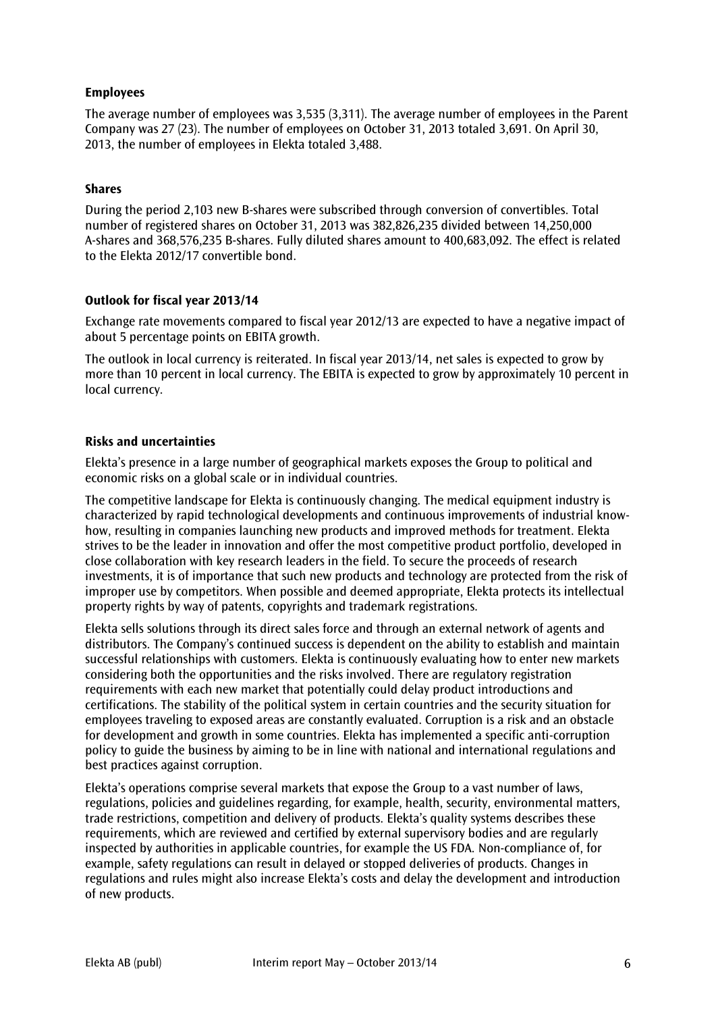#### **Employees**

The average number of employees was 3,535 (3,311). The average number of employees in the Parent Company was 27 (23). The number of employees on October 31, 2013 totaled 3,691. On April 30, 2013, the number of employees in Elekta totaled 3,488.

#### **Shares**

During the period 2,103 new B-shares were subscribed through conversion of convertibles. Total number of registered shares on October 31, 2013 was 382,826,235 divided between 14,250,000 A-shares and 368,576,235 B-shares. Fully diluted shares amount to 400,683,092. The effect is related to the Elekta 2012/17 convertible bond.

#### **Outlook for fiscal year 2013/14**

Exchange rate movements compared to fiscal year 2012/13 are expected to have a negative impact of about 5 percentage points on EBITA growth.

The outlook in local currency is reiterated. In fiscal year 2013/14, net sales is expected to grow by more than 10 percent in local currency. The EBITA is expected to grow by approximately 10 percent in local currency.

#### **Risks and uncertainties**

Elekta's presence in a large number of geographical markets exposes the Group to political and economic risks on a global scale or in individual countries.

The competitive landscape for Elekta is continuously changing. The medical equipment industry is characterized by rapid technological developments and continuous improvements of industrial knowhow, resulting in companies launching new products and improved methods for treatment. Elekta strives to be the leader in innovation and offer the most competitive product portfolio, developed in close collaboration with key research leaders in the field. To secure the proceeds of research investments, it is of importance that such new products and technology are protected from the risk of improper use by competitors. When possible and deemed appropriate, Elekta protects its intellectual property rights by way of patents, copyrights and trademark registrations.

Elekta sells solutions through its direct sales force and through an external network of agents and distributors. The Company's continued success is dependent on the ability to establish and maintain successful relationships with customers. Elekta is continuously evaluating how to enter new markets considering both the opportunities and the risks involved. There are regulatory registration requirements with each new market that potentially could delay product introductions and certifications. The stability of the political system in certain countries and the security situation for employees traveling to exposed areas are constantly evaluated. Corruption is a risk and an obstacle for development and growth in some countries. Elekta has implemented a specific anti-corruption policy to guide the business by aiming to be in line with national and international regulations and best practices against corruption.

Elekta's operations comprise several markets that expose the Group to a vast number of laws, regulations, policies and guidelines regarding, for example, health, security, environmental matters, trade restrictions, competition and delivery of products. Elekta's quality systems describes these requirements, which are reviewed and certified by external supervisory bodies and are regularly inspected by authorities in applicable countries, for example the US FDA. Non-compliance of, for example, safety regulations can result in delayed or stopped deliveries of products. Changes in regulations and rules might also increase Elekta's costs and delay the development and introduction of new products.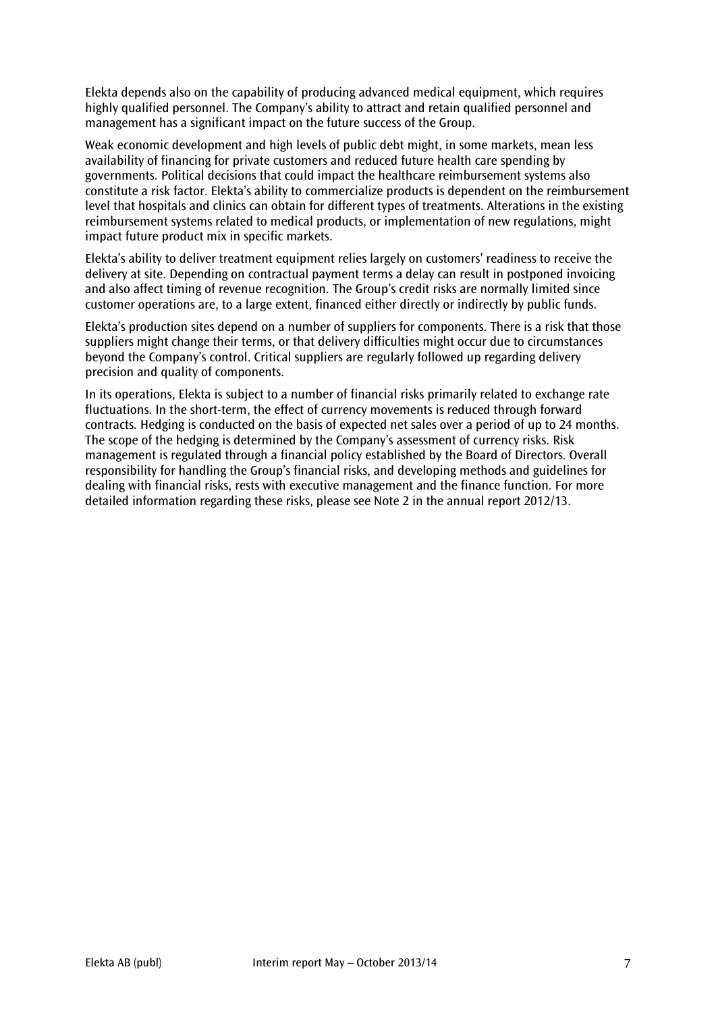Elekta depends also on the capability of producing advanced medical equipment, which requires highly qualified personnel. The Company's ability to attract and retain qualified personnel and management has a significant impact on the future success of the Group.

Weak economic development and high levels of public debt might, in some markets, mean less availability of financing for private customers and reduced future health care spending by governments. Political decisions that could impact the healthcare reimbursement systems also constitute a risk factor. Elekta's ability to commercialize products is dependent on the reimbursement level that hospitals and clinics can obtain for different types of treatments. Alterations in the existing reimbursement systems related to medical products, or implementation of new regulations, might impact future product mix in specific markets.

Elekta's ability to deliver treatment equipment relies largely on customers' readiness to receive the delivery at site. Depending on contractual payment terms a delay can result in postponed invoicing and also affect timing of revenue recognition. The Group's credit risks are normally limited since customer operations are, to a large extent, financed either directly or indirectly by public funds.

Elekta's production sites depend on a number of suppliers for components. There is a risk that those suppliers might change their terms, or that delivery difficulties might occur due to circumstances beyond the Company's control. Critical suppliers are regularly followed up regarding delivery precision and quality of components.

In its operations, Elekta is subject to a number of financial risks primarily related to exchange rate fluctuations. In the short-term, the effect of currency movements is reduced through forward contracts. Hedging is conducted on the basis of expected net sales over a period of up to 24 months. The scope of the hedging is determined by the Company's assessment of currency risks. Risk management is regulated through a financial policy established by the Board of Directors. Overall responsibility for handling the Group's financial risks, and developing methods and guidelines for dealing with financial risks, rests with executive management and the finance function. For more detailed information regarding these risks, please see Note 2 in the annual report 2012/13.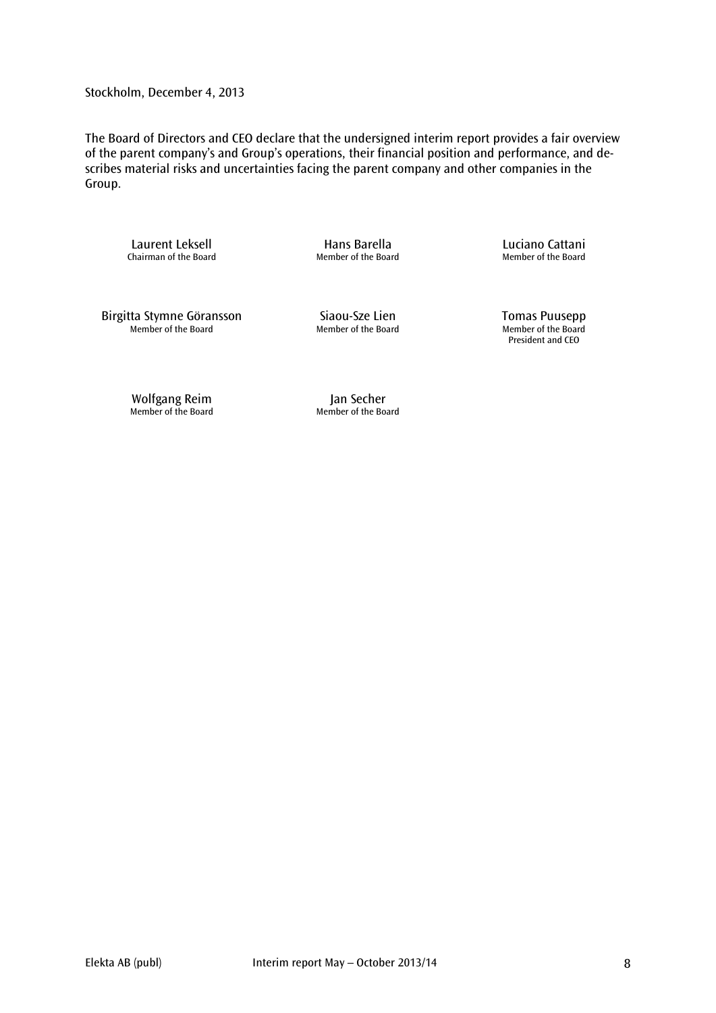Stockholm, December 4, 2013

The Board of Directors and CEO declare that the undersigned interim report provides a fair overview of the parent company's and Group's operations, their financial position and performance, and describes material risks and uncertainties facing the parent company and other companies in the Group.

Laurent Leksell **Example 2** Hans Barella<br>Chairman of the Board **Chairman of the Board** Member of the Board Member of the Board Chairman of the Board

Birgitta Stymne Göransson Siaou-Sze Lien Tomas Puusepp<br>Member of the Board Member of the Board Member of the Board Member of the Board

Member of the Board Member of the Board Member of the Board President and CEO

Wolfgang Reim and Jan Secher Member of the Board Member of the Board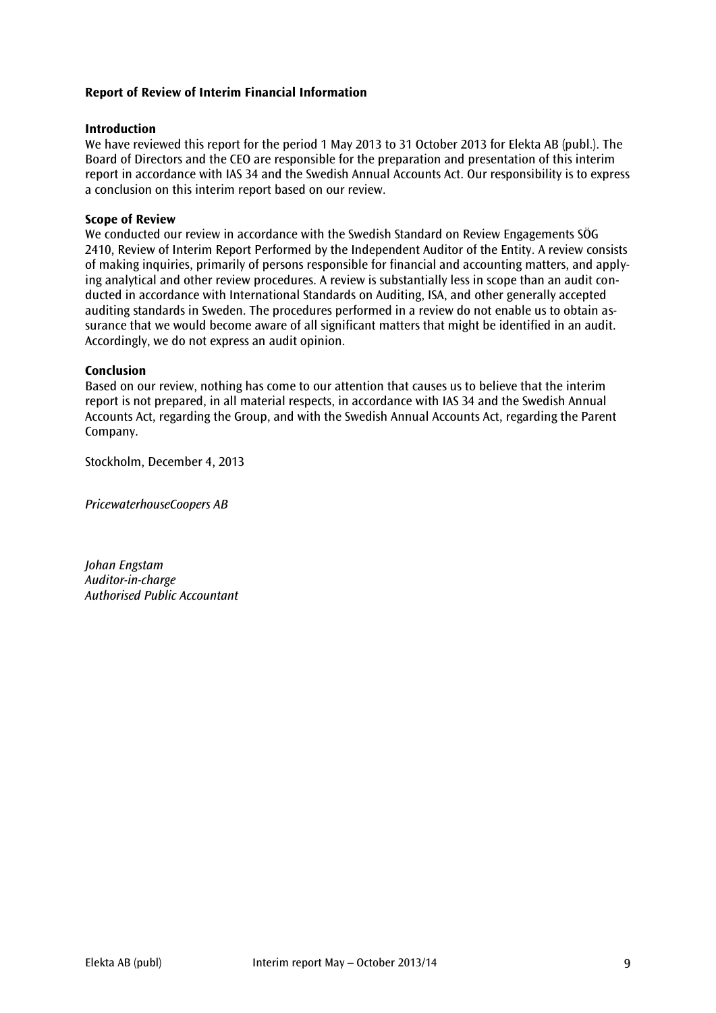#### **Report of Review of Interim Financial Information**

#### **Introduction**

We have reviewed this report for the period 1 May 2013 to 31 October 2013 for Elekta AB (publ.). The Board of Directors and the CEO are responsible for the preparation and presentation of this interim report in accordance with IAS 34 and the Swedish Annual Accounts Act. Our responsibility is to express a conclusion on this interim report based on our review.

#### **Scope of Review**

We conducted our review in accordance with the Swedish Standard on Review Engagements SÖG 2410, Review of Interim Report Performed by the Independent Auditor of the Entity. A review consists of making inquiries, primarily of persons responsible for financial and accounting matters, and applying analytical and other review procedures. A review is substantially less in scope than an audit conducted in accordance with International Standards on Auditing, ISA, and other generally accepted auditing standards in Sweden. The procedures performed in a review do not enable us to obtain assurance that we would become aware of all significant matters that might be identified in an audit. Accordingly, we do not express an audit opinion.

#### **Conclusion**

Based on our review, nothing has come to our attention that causes us to believe that the interim report is not prepared, in all material respects, in accordance with IAS 34 and the Swedish Annual Accounts Act, regarding the Group, and with the Swedish Annual Accounts Act, regarding the Parent Company.

Stockholm, December 4, 2013

*PricewaterhouseCoopers AB*

*Johan Engstam Auditor-in-charge Authorised Public Accountant*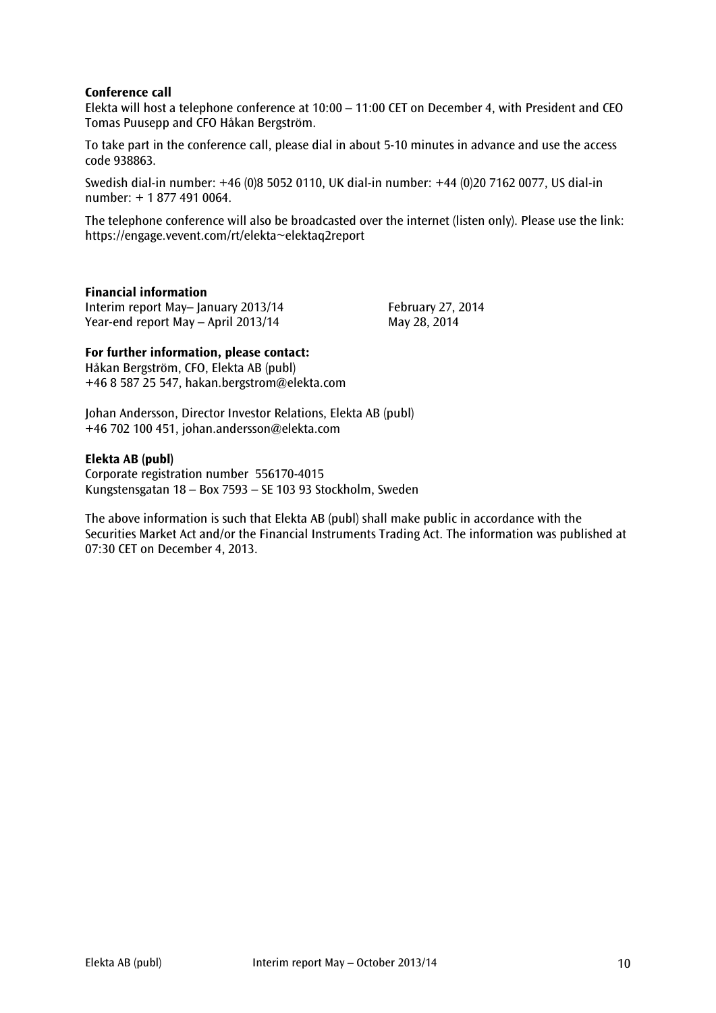#### **Conference call**

Elekta will host a telephone conference at 10:00 – 11:00 CET on December 4, with President and CEO Tomas Puusepp and CFO Håkan Bergström.

To take part in the conference call, please dial in about 5-10 minutes in advance and use the access code 938863.

Swedish dial-in number: +46 (0)8 5052 0110, UK dial-in number: +44 (0)20 7162 0077, US dial-in number: + 1 877 491 0064.

The telephone conference will also be broadcasted over the internet (listen only). Please use the link: <https://engage.vevent.com/rt/elekta~elektaq2report>

#### **Financial information**

Interim report May–January 2013/14 February 27, 2014 Year-end report May – April 2013/14 May 28, 2014

#### **For further information, please contact:**

Håkan Bergström, CFO, Elekta AB (publ) +46 8 587 25 547, hakan.bergstrom@elekta.com

Johan Andersson, Director Investor Relations, Elekta AB (publ) +46 702 100 451, [johan.andersson@elekta.com](mailto:johan.anderssonmelbi@elekta.com)

#### **Elekta AB (publ)**

Corporate registration number 556170-4015 Kungstensgatan 18 – Box 7593 – SE 103 93 Stockholm, Sweden

The above information is such that Elekta AB (publ) shall make public in accordance with the Securities Market Act and/or the Financial Instruments Trading Act. The information was published at 07:30 CET on December 4, 2013.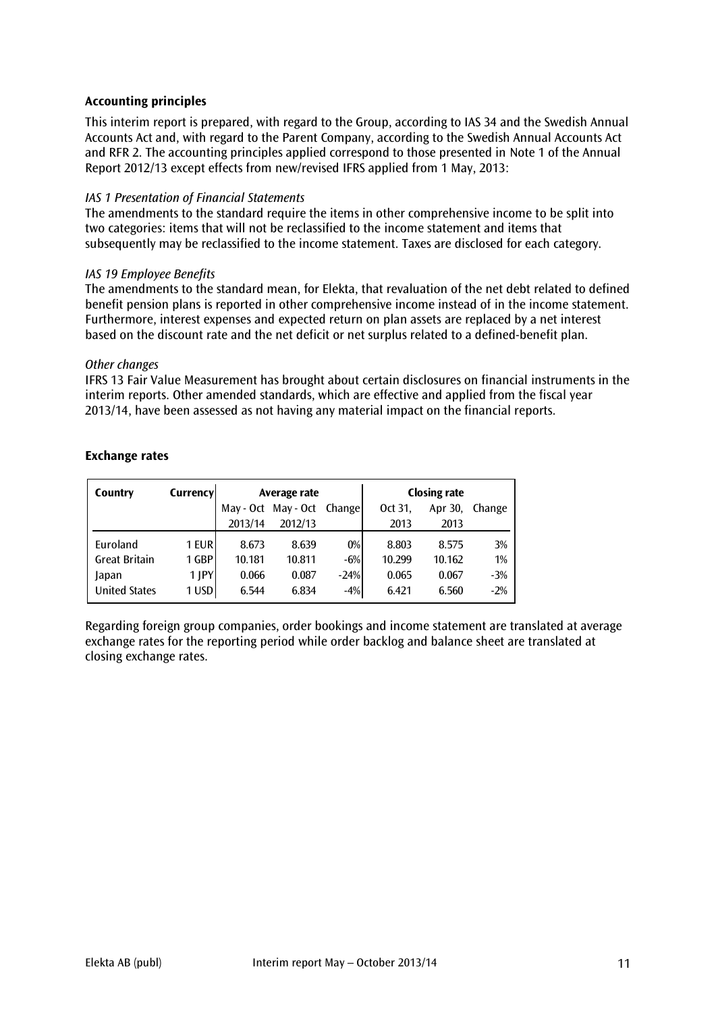#### **Accounting principles**

This interim report is prepared, with regard to the Group, according to IAS 34 and the Swedish Annual Accounts Act and, with regard to the Parent Company, according to the Swedish Annual Accounts Act and RFR 2. The accounting principles applied correspond to those presented in Note 1 of the Annual Report 2012/13 except effects from new/revised IFRS applied from 1 May, 2013:

#### *IAS 1 Presentation of Financial Statements*

The amendments to the standard require the items in other comprehensive income to be split into two categories: items that will not be reclassified to the income statement and items that subsequently may be reclassified to the income statement. Taxes are disclosed for each category.

#### *IAS 19 Employee Benefits*

The amendments to the standard mean, for Elekta, that revaluation of the net debt related to defined benefit pension plans is reported in other comprehensive income instead of in the income statement. Furthermore, interest expenses and expected return on plan assets are replaced by a net interest based on the discount rate and the net deficit or net surplus related to a defined-benefit plan.

#### *Other changes*

IFRS 13 Fair Value Measurement has brought about certain disclosures on financial instruments in the interim reports. Other amended standards, which are effective and applied from the fiscal year 2013/14, have been assessed as not having any material impact on the financial reports.

| Country              | Currency   | Average rate |                     |        |         | <b>Closing rate</b> |        |
|----------------------|------------|--------------|---------------------|--------|---------|---------------------|--------|
|                      |            |              | May - Oct May - Oct | Change | Oct 31, | Apr 30,             | Change |
|                      |            | 2013/14      | 2012/13             |        | 2013    | 2013                |        |
| Euroland             | 1 EUR      | 8.673        | 8.639               | $0\%$  | 8.803   | 8.575               | 3%     |
| <b>Great Britain</b> | 1 GBP      | 10.181       | 10.811              | $-6%$  | 10.299  | 10.162              | 1%     |
| Japan                | $1$ $ PY $ | 0.066        | 0.087               | $-24%$ | 0.065   | 0.067               | $-3%$  |
| <b>United States</b> | 1 USD      | 6.544        | 6.834               | $-4%$  | 6.421   | 6.560               | $-2%$  |

#### **Exchange rates**

Regarding foreign group companies, order bookings and income statement are translated at average exchange rates for the reporting period while order backlog and balance sheet are translated at closing exchange rates.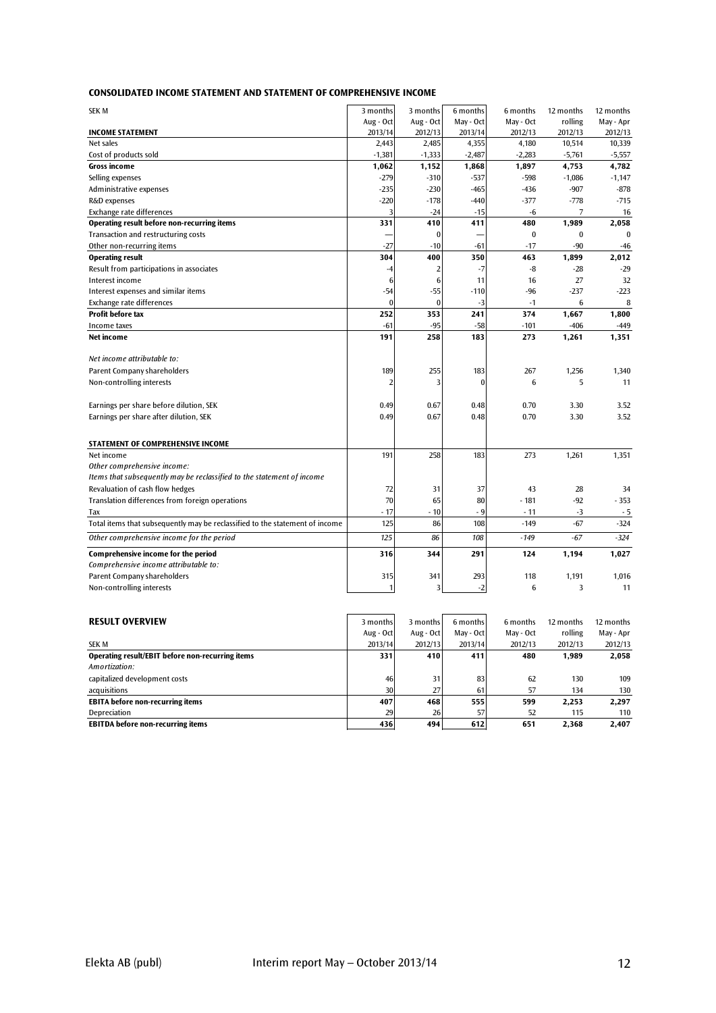|  | <b>CONSOLIDATED INCOME STATEMENT AND STATEMENT OF COMPREHENSIVE INCOME</b> |  |
|--|----------------------------------------------------------------------------|--|
|  |                                                                            |  |

| <b>SEK M</b>                                                                 | 3 months       | 3 months       | 6 months  | 6 months  | 12 months | 12 months |
|------------------------------------------------------------------------------|----------------|----------------|-----------|-----------|-----------|-----------|
|                                                                              | Aug - Oct      | Aug - Oct      | May - Oct | May - Oct | rolling   | May - Apr |
| <b>INCOME STATEMENT</b>                                                      | 2013/14        | 2012/13        | 2013/14   | 2012/13   | 2012/13   | 2012/13   |
| Net sales                                                                    | 2,443          | 2,485          | 4,355     | 4,180     | 10,514    | 10,339    |
| Cost of products sold                                                        | $-1,381$       | $-1,333$       | $-2,487$  | $-2,283$  | $-5,761$  | $-5,557$  |
| <b>Gross income</b>                                                          | 1,062          | 1,152          | 1,868     | 1,897     | 4,753     | 4,782     |
| Selling expenses                                                             | $-279$         | $-310$         | $-537$    | $-598$    | $-1,086$  | $-1,147$  |
| Administrative expenses                                                      | $-235$         | $-230$         | $-465$    | $-436$    | $-907$    | $-878$    |
| R&D expenses                                                                 | $-220$         | $-178$         | $-440$    | $-377$    | $-778$    | $-715$    |
| Exchange rate differences                                                    | F              | $-24$          | $-15$     | -6        | 7         | 16        |
| Operating result before non-recurring items                                  | 331            | 410            | 411       | 480       | 1,989     | 2,058     |
| Transaction and restructuring costs                                          |                | $\mathbf{0}$   |           | $\bf{0}$  | $\bf{0}$  | $\theta$  |
| Other non-recurring items                                                    | $-27$          | $-10$          | $-61$     | $-17$     | $-90$     | $-46$     |
| <b>Operating result</b>                                                      | 304            | 400            | 350       | 463       | 1,899     | 2,012     |
| Result from participations in associates                                     | $-4$           | $\overline{2}$ | $-7$      | -8        | $-28$     | $-29$     |
| Interest income                                                              | 6              | 6              | 11        | 16        | 27        | 32        |
| Interest expenses and similar items                                          | $-54$          | $-55$          | $-110$    | $-96$     | $-237$    | $-223$    |
| Exchange rate differences                                                    | $\theta$       | $\mathbf{0}$   | $-3$      | $-1$      | 6         | 8         |
| <b>Profit before tax</b>                                                     | 252            | 353            | 241       | 374       | 1,667     | 1,800     |
| Income taxes                                                                 | $-61$          | $-95$          | $-58$     | $-101$    | $-406$    | $-449$    |
| Net income                                                                   | 191            | 258            | 183       | 273       | 1,261     | 1,351     |
|                                                                              |                |                |           |           |           |           |
| Net income attributable to:                                                  |                |                |           |           |           |           |
| <b>Parent Company shareholders</b>                                           | 189            | 255            | 183       | 267       | 1,256     | 1,340     |
| Non-controlling interests                                                    | $\overline{2}$ | 3              | $\theta$  | 6         | 5         | 11        |
| Earnings per share before dilution, SEK                                      | 0.49           | 0.67           | 0.48      | 0.70      | 3.30      | 3.52      |
| Earnings per share after dilution, SEK                                       | 0.49           | 0.67           | 0.48      | 0.70      | 3.30      | 3.52      |
|                                                                              |                |                |           |           |           |           |
| STATEMENT OF COMPREHENSIVE INCOME                                            |                |                |           |           |           |           |
| Net income                                                                   | 191            | 258            | 183       | 273       | 1,261     | 1,351     |
| Other comprehensive income:                                                  |                |                |           |           |           |           |
| Items that subsequently may be reclassified to the statement of income       |                |                |           |           |           |           |
| Revaluation of cash flow hedges                                              | 72             | 31             | 37        | 43        | 28        | 34        |
| Translation differences from foreign operations                              | 70             | 65             | 80        | $-181$    | $-92$     | $-353$    |
| Tax                                                                          | $-17$          | $-10$          | - 9       | $-11$     | $-3$      | - 5       |
| Total items that subsequently may be reclassified to the statement of income | 125            | 86             | 108       | $-149$    | $-67$     | $-324$    |
| Other comprehensive income for the period                                    | 125            | 86             | 108       | $-149$    | -67       | $-324$    |
| Comprehensive income for the period                                          | 316            | 344            | 291       | 124       | 1,194     | 1,027     |
| Comprehensive income attributable to:                                        |                |                |           |           |           |           |
| Parent Company shareholders                                                  | 315            | 341            | 293       | 118       | 1,191     | 1,016     |
| Non-controlling interests                                                    | $\overline{1}$ | ٦              | $-2$      | 6         | 3         | 11        |
|                                                                              |                |                |           |           |           |           |

| <b>RESULT OVERVIEW</b>                           | 3 months  | 3 months  | 6 months  | 6 months  | 12 months | 12 months |
|--------------------------------------------------|-----------|-----------|-----------|-----------|-----------|-----------|
|                                                  | Aug - Oct | Aug - Oct | May - Oct | May - Oct | rolling   | May - Apr |
| <b>SEK M</b>                                     | 2013/14   | 2012/13   | 2013/14   | 2012/13   | 2012/13   | 2012/13   |
| Operating result/EBIT before non-recurring items | 331       | 410       | 411       | 480       | 1,989     | 2,058     |
| Amortization:                                    |           |           |           |           |           |           |
| capitalized development costs                    | 46        | 31        | 83        | 62        | 130       | 109       |
| acquisitions                                     | 30        | 27        | 61        | 57        | 134       | 130       |
| <b>EBITA before non-recurring items</b>          | 407       | 468       | 555       | 599       | 2.253     | 2,297     |
| Depreciation                                     | 29        | 26        | 57        | 52        | 115       | 110       |
| <b>EBITDA before non-recurring items</b>         | 436       | 494       | 612       | 651       | 2.368     | 2,407     |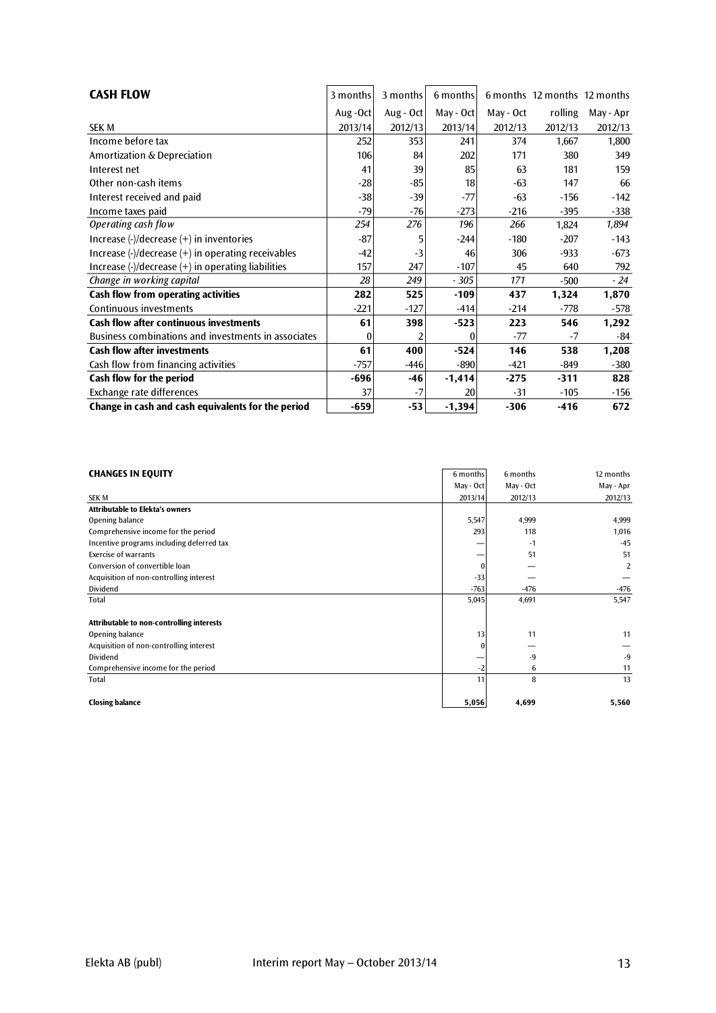| <b>CASH FLOW</b>                                                                                 | 3 months | 3 months  | 6 months  |           | 6 months 12 months 12 months |           |
|--------------------------------------------------------------------------------------------------|----------|-----------|-----------|-----------|------------------------------|-----------|
|                                                                                                  | Aug-Oct  | Aug - Oct | May - Oct | May - Oct | rolling                      | May - Apr |
| <b>SEK M</b>                                                                                     | 2013/14  | 2012/13   | 2013/14   | 2012/13   | 2012/13                      | 2012/13   |
| Income before tax                                                                                | 252      | 353       | 241       | 374       | 1,667                        | 1,800     |
| Amortization & Depreciation                                                                      | 106      | 84        | 202       | 171       | 380                          | 349       |
| Interest net                                                                                     | 41       | 39        | 85        | 63        | 181                          | 159       |
| Other non-cash items                                                                             | $-28$    | -85       | 18        | $-63$     | 147                          | 66        |
| Interest received and paid                                                                       | $-38$    | $-39$     | $-77$     | $-63$     | $-156$                       | $-142$    |
| Income taxes paid                                                                                | $-79$    | $-76$     | $-273$    | $-216$    | $-395$                       | $-338$    |
| Operating cash flow                                                                              | 254      | 276       | 196       | 266       | 1,824                        | 1,894     |
| Increase $\left(\frac{1}{2}\right)$ decrease $\left(\frac{1}{2}\right)$ in inventories           | $-87$    |           | $-244$    | $-180$    | $-207$                       | $-143$    |
| Increase $\left(\frac{1}{2}\right)$ decrease $\left(\frac{1}{2}\right)$ in operating receivables | $-42$    | -3        | 46        | 306       | $-933$                       | $-673$    |
| Increase $\left(\frac{1}{2}\right)$ decrease $\left(\frac{1}{2}\right)$ in operating liabilities | 157      | 247       | $-107$    | 45        | 640                          | 792       |
| Change in working capital                                                                        | 28       | 249       | $-305$    | 171       | $-500$                       | $-24$     |
| Cash flow from operating activities                                                              | 282      | 525       | $-109$    | 437       | 1,324                        | 1,870     |
| Continuous investments                                                                           | -221     | $-127$    | $-414$    | $-214$    | $-778$                       | -578      |
| <b>Cash flow after continuous investments</b>                                                    | 61       | 398       | $-523$    | 223       | 546                          | 1,292     |
| Business combinations and investments in associates                                              | 0        |           |           | $-77$     | $-7$                         | -84       |
| <b>Cash flow after investments</b>                                                               | 61       | 400       | $-524$    | 146       | 538                          | 1,208     |
| Cash flow from financing activities                                                              | $-757$   | $-446$    | $-890$    | -421      | $-849$                       | -380      |
| Cash flow for the period                                                                         | $-696$   | -46       | $-1,414$  | $-275$    | $-311$                       | 828       |
| Exchange rate differences                                                                        | 37       | -7        | 20        | $-31$     | $-105$                       | -156      |
| Change in cash and cash equivalents for the period                                               | $-659$   | $-53$     | $-1,394$  | $-306$    | $-416$                       | 672       |

|                                           |              |           | 12 months      |
|-------------------------------------------|--------------|-----------|----------------|
| <b>CHANGES IN EQUITY</b>                  | 6 months     | 6 months  |                |
|                                           | May - Oct    | May - Oct | May - Apr      |
| <b>SEK M</b>                              | 2013/14      | 2012/13   | 2012/13        |
| <b>Attributable to Elekta's owners</b>    |              |           |                |
| Opening balance                           | 5,547        | 4,999     | 4,999          |
| Comprehensive income for the period       | 293          | 118       | 1,016          |
| Incentive programs including deferred tax |              | -1        | $-45$          |
| <b>Exercise of warrants</b>               |              | 51        | 51             |
| Conversion of convertible loan            | $\mathbf{0}$ |           | $\overline{2}$ |
| Acquisition of non-controlling interest   | $-33$        |           |                |
| Dividend                                  | $-763$       | $-476$    | -476           |
| Total                                     | 5,045        | 4,691     | 5,547          |
|                                           |              |           |                |
| Attributable to non-controlling interests |              |           |                |
| Opening balance                           | 13           | 11        | 11             |
| Acquisition of non-controlling interest   | $\theta$     |           |                |
| Dividend                                  |              | $-9$      | $-9$           |
| Comprehensive income for the period       | $-2$         | 6         | 11             |
| Total                                     | 11           | 8         | 13             |
|                                           |              |           |                |
| <b>Closing balance</b>                    | 5,056        | 4,699     | 5,560          |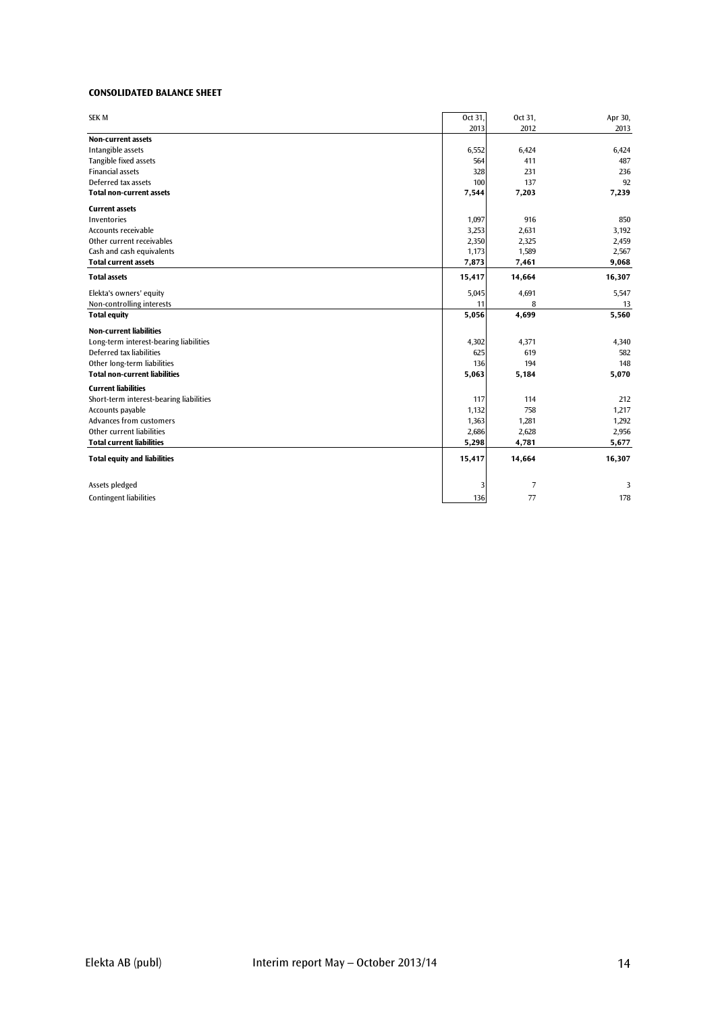#### **CONSOLIDATED BALANCE SHEET**

| <b>SEK M</b>                            | Oct 31, | Oct 31, | Apr 30, |
|-----------------------------------------|---------|---------|---------|
|                                         | 2013    | 2012    | 2013    |
| <b>Non-current assets</b>               |         |         |         |
| Intangible assets                       | 6,552   | 6,424   | 6,424   |
| Tangible fixed assets                   | 564     | 411     | 487     |
| <b>Financial assets</b>                 | 328     | 231     | 236     |
| Deferred tax assets                     | 100     | 137     | 92      |
| <b>Total non-current assets</b>         | 7,544   | 7,203   | 7,239   |
| <b>Current assets</b>                   |         |         |         |
| Inventories                             | 1,097   | 916     | 850     |
| Accounts receivable                     | 3,253   | 2,631   | 3,192   |
| Other current receivables               | 2,350   | 2,325   | 2,459   |
| Cash and cash equivalents               | 1,173   | 1,589   | 2,567   |
| <b>Total current assets</b>             | 7,873   | 7,461   | 9,068   |
| <b>Total assets</b>                     | 15,417  | 14,664  | 16,307  |
| Elekta's owners' equity                 | 5,045   | 4,691   | 5,547   |
| Non-controlling interests               | 11      | 8       | 13      |
| <b>Total equity</b>                     | 5,056   | 4,699   | 5,560   |
| <b>Non-current liabilities</b>          |         |         |         |
| Long-term interest-bearing liabilities  | 4,302   | 4,371   | 4,340   |
| Deferred tax liabilities                | 625     | 619     | 582     |
| Other long-term liabilities             | 136     | 194     | 148     |
| <b>Total non-current liabilities</b>    | 5,063   | 5,184   | 5,070   |
| <b>Current liabilities</b>              |         |         |         |
| Short-term interest-bearing liabilities | 117     | 114     | 212     |
| Accounts payable                        | 1,132   | 758     | 1,217   |
| Advances from customers                 | 1,363   | 1,281   | 1,292   |
| Other current liabilities               | 2,686   | 2,628   | 2,956   |
| <b>Total current liabilities</b>        | 5,298   | 4,781   | 5,677   |
| <b>Total equity and liabilities</b>     | 15,417  | 14,664  | 16,307  |
| Assets pledged                          | 3       | 7       | 3       |
|                                         |         |         |         |
| <b>Contingent liabilities</b>           | 136     | 77      | 178     |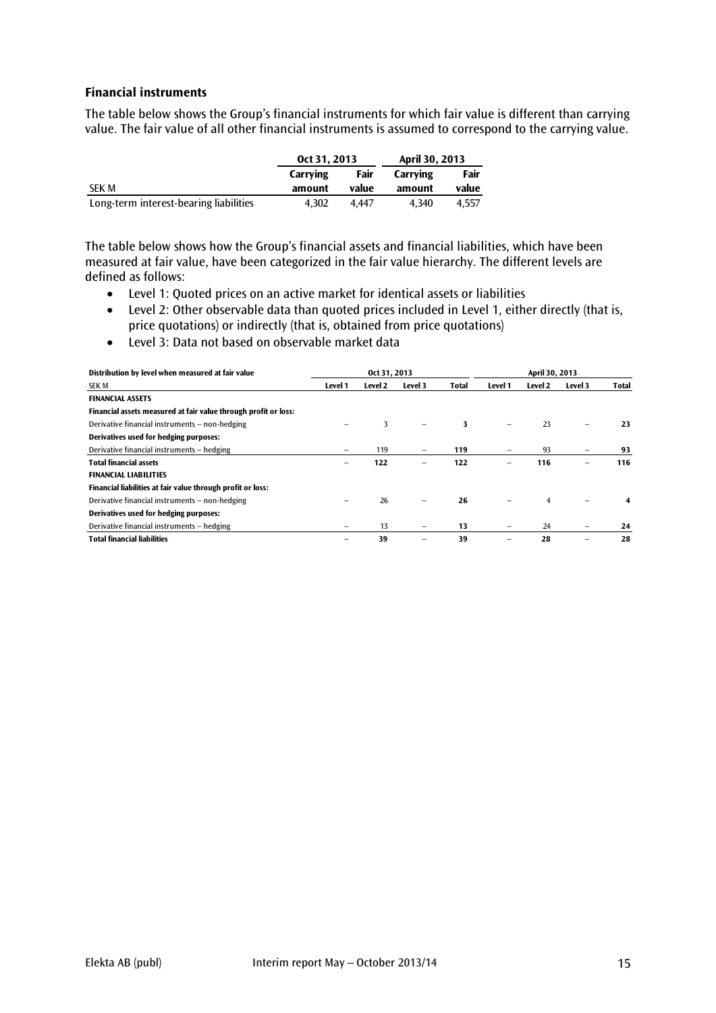#### **Financial instruments**

The table below shows the Group's financial instruments for which fair value is different than carrying value. The fair value of all other financial instruments is assumed to correspond to the carrying value.

|                                        | Oct 31, 2013 |       | April 30, 2013 |       |
|----------------------------------------|--------------|-------|----------------|-------|
|                                        | Carrving     | Fair  | Carrving       | Fair  |
| <b>SEK M</b>                           | amount       | value | amount         | value |
| Long-term interest-bearing liabilities | 4.302        | 4.447 | 4.340          | 4.557 |

The table below shows how the Group's financial assets and financial liabilities, which have been measured at fair value, have been categorized in the fair value hierarchy. The different levels are defined as follows:

- Level 1: Quoted prices on an active market for identical assets or liabilities
- Level 2: Other observable data than quoted prices included in Level 1, either directly (that is, price quotations) or indirectly (that is, obtained from price quotations)
- Level 3: Data not based on observable market data

| Distribution by level when measured at fair value               | Oct 31, 2013 |         |         |              | April 30, 2013 |         |         |              |
|-----------------------------------------------------------------|--------------|---------|---------|--------------|----------------|---------|---------|--------------|
| <b>SEK M</b>                                                    | Level 1      | Level 2 | Level 3 | <b>Total</b> | Level 1        | Level 2 | Level 3 | <b>Total</b> |
| <b>FINANCIAL ASSETS</b>                                         |              |         |         |              |                |         |         |              |
| Financial assets measured at fair value through profit or loss: |              |         |         |              |                |         |         |              |
| Derivative financial instruments - non-hedging                  |              | 3       |         | 3            |                | 23      |         | 23           |
| Derivatives used for hedging purposes:                          |              |         |         |              |                |         |         |              |
| Derivative financial instruments - hedging                      |              | 119     | -       | 119          |                | 93      |         | 93           |
| <b>Total financial assets</b>                                   | -            | 122     |         | 122          |                | 116     |         | 116          |
| <b>FINANCIAL LIABILITIES</b>                                    |              |         |         |              |                |         |         |              |
| Financial liabilities at fair value through profit or loss:     |              |         |         |              |                |         |         |              |
| Derivative financial instruments – non-hedging                  |              | 26      |         | 26           |                | 4       |         | 4            |
| Derivatives used for hedging purposes:                          |              |         |         |              |                |         |         |              |
| Derivative financial instruments - hedging                      |              | 13      |         | 13           |                | 24      |         | 24           |
| <b>Total financial liabilities</b>                              |              | 39      |         | 39           |                | 28      |         | 28           |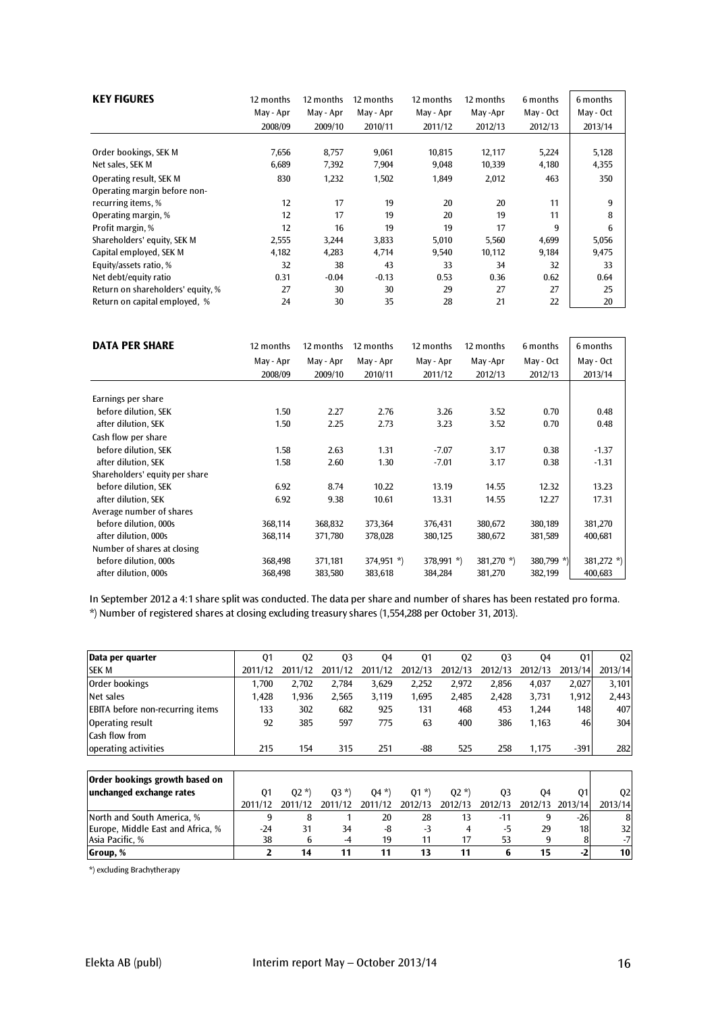| <b>KEY FIGURES</b>                                      | 12 months | 12 months | 12 months | 12 months | 12 months | 6 months  | 6 months  |
|---------------------------------------------------------|-----------|-----------|-----------|-----------|-----------|-----------|-----------|
|                                                         | May - Apr | May - Apr | May - Apr | May - Apr | May-Apr   | May - Oct | May - Oct |
|                                                         | 2008/09   | 2009/10   | 2010/11   | 2011/12   | 2012/13   | 2012/13   | 2013/14   |
| Order bookings, SEK M                                   | 7,656     | 8,757     | 9,061     | 10,815    | 12,117    | 5,224     | 5,128     |
| Net sales, SEK M                                        | 6,689     | 7,392     | 7,904     | 9,048     | 10,339    | 4,180     | 4,355     |
| Operating result, SEK M<br>Operating margin before non- | 830       | 1,232     | 1,502     | 1,849     | 2,012     | 463       | 350       |
| recurring items, %                                      | 12        | 17        | 19        | 20        | 20        | 11        | 9         |
| Operating margin, %                                     | 12        | 17        | 19        | 20        | 19        | 11        | 8         |
| Profit margin, %                                        | 12        | 16        | 19        | 19        | 17        | 9         | 6         |
| Shareholders' equity, SEK M                             | 2,555     | 3,244     | 3,833     | 5,010     | 5,560     | 4,699     | 5,056     |
| Capital employed, SEK M                                 | 4,182     | 4,283     | 4,714     | 9,540     | 10,112    | 9,184     | 9,475     |
| Equity/assets ratio, %                                  | 32        | 38        | 43        | 33        | 34        | 32        | 33        |
| Net debt/equity ratio                                   | 0.31      | $-0.04$   | $-0.13$   | 0.53      | 0.36      | 0.62      | 0.64      |
| Return on shareholders' equity, %                       | 27        | 30        | 30        | 29        | 27        | 27        | 25        |
| Return on capital employed, %                           | 24        | 30        | 35        | 28        | 21        | 22        | 20        |

| <b>DATA PER SHARE</b>          | 12 months | 12 months | 12 months    | 12 months    | 12 months     | 6 months   | 6 months      |
|--------------------------------|-----------|-----------|--------------|--------------|---------------|------------|---------------|
|                                | May - Apr | May - Apr | May - Apr    | May - Apr    | May -Apr      | May - Oct  | May - Oct     |
|                                | 2008/09   | 2009/10   | 2010/11      | 2011/12      | 2012/13       | 2012/13    | 2013/14       |
| Earnings per share             |           |           |              |              |               |            |               |
| before dilution, SEK           | 1.50      | 2.27      | 2.76         | 3.26         | 3.52          | 0.70       | 0.48          |
| after dilution, SEK            | 1.50      | 2.25      | 2.73         | 3.23         | 3.52          | 0.70       | 0.48          |
| Cash flow per share            |           |           |              |              |               |            |               |
| before dilution, SEK           | 1.58      | 2.63      | 1.31         | $-7.07$      | 3.17          | 0.38       | $-1.37$       |
| after dilution, SEK            | 1.58      | 2.60      | 1.30         | $-7.01$      | 3.17          | 0.38       | $-1.31$       |
| Shareholders' equity per share |           |           |              |              |               |            |               |
| before dilution, SEK           | 6.92      | 8.74      | 10.22        | 13.19        | 14.55         | 12.32      | 13.23         |
| after dilution, SEK            | 6.92      | 9.38      | 10.61        | 13.31        | 14.55         | 12.27      | 17.31         |
| Average number of shares       |           |           |              |              |               |            |               |
| before dilution, 000s          | 368,114   | 368,832   | 373,364      | 376,431      | 380,672       | 380,189    | 381,270       |
| after dilution, 000s           | 368,114   | 371,780   | 378,028      | 380,125      | 380,672       | 381,589    | 400,681       |
| Number of shares at closing    |           |           |              |              |               |            |               |
| before dilution, 000s          | 368,498   | 371,181   | $374,951$ *) | $378,991$ *) | 381,270 $*$ ) | 380,799 *) | 381,272 $*$ ) |
| after dilution, 000s           | 368,498   | 383,580   | 383,618      | 384,284      | 381,270       | 382,199    | 400,683       |

In September 2012 a 4:1 share split was conducted. The data per share and number of shares has been restated pro forma. \*) Number of registered shares at closing excluding treasury shares (1,554,288 per October 31, 2013).

| Data per quarter                        | Q1             | Q <sub>2</sub> | Q <sub>3</sub> | 04      | Q <sub>1</sub> | Q <sub>2</sub> | Q <sub>3</sub> | 04      | Q1              | Q <sub>2</sub> |
|-----------------------------------------|----------------|----------------|----------------|---------|----------------|----------------|----------------|---------|-----------------|----------------|
| <b>SEK M</b>                            | 2011/12        | 2011/12        | 2011/12        | 2011/12 | 2012/13        | 2012/13        | 2012/13        | 2012/13 | 2013/14         | 2013/14        |
| Order bookings                          | 1,700          | 2,702          | 2,784          | 3,629   | 2,252          | 2,972          | 2,856          | 4,037   | 2,027           | 3,101          |
| Net sales                               | 1,428          | 1,936          | 2,565          | 3,119   | 1,695          | 2,485          | 2,428          | 3,731   | 1,912           | 2,443          |
| <b>EBITA</b> before non-recurring items | 133            | 302            | 682            | 925     | 131            | 468            | 453            | 1,244   | 148             | 407            |
| Operating result                        | 92             | 385            | 597            | 775     | 63             | 400            | 386            | 1,163   | 46              | 304            |
| Cash flow from                          |                |                |                |         |                |                |                |         |                 |                |
| operating activities                    | 215            | 154            | 315            | 251     | -88            | 525            | 258            | 1,175   | $-391$          | 282            |
|                                         |                |                |                |         |                |                |                |         |                 |                |
| Order bookings growth based on          |                |                |                |         |                |                |                |         |                 |                |
| unchanged exchange rates                | Q <sub>1</sub> | $02 *$         | $03 *$         | $04 *$  | $Q1 *$         | $Q2 *$         | Q <sub>3</sub> | 04      | Q1              | Q <sub>2</sub> |
|                                         | 2011/12        | 2011/12        | 2011/12        | 2011/12 | 2012/13        | 2012/13        | 2012/13        | 2012/13 | 2013/14         | 2013/14        |
| North and South America. %              | 9              | 8              |                | 20      | 28             | 13             | $-11$          | 9       | $-26$           | 8              |
| Europe, Middle East and Africa, %       | $-24$          | 31             | 34             | -8      | $-3$           | 4              | $-5$           | 29      | 18 <sub>l</sub> | 32             |
| Asia Pacific, %                         | 38             | 6              | $-4$           | 19      | 11             | 17             | 53             | 9       | 8               | $-7$           |
| Group, %                                | $\overline{2}$ | 14             | 11             | 11      | 13             | 11             | 6              | 15      | $-2$            | 10             |

\*) excluding Brachytherapy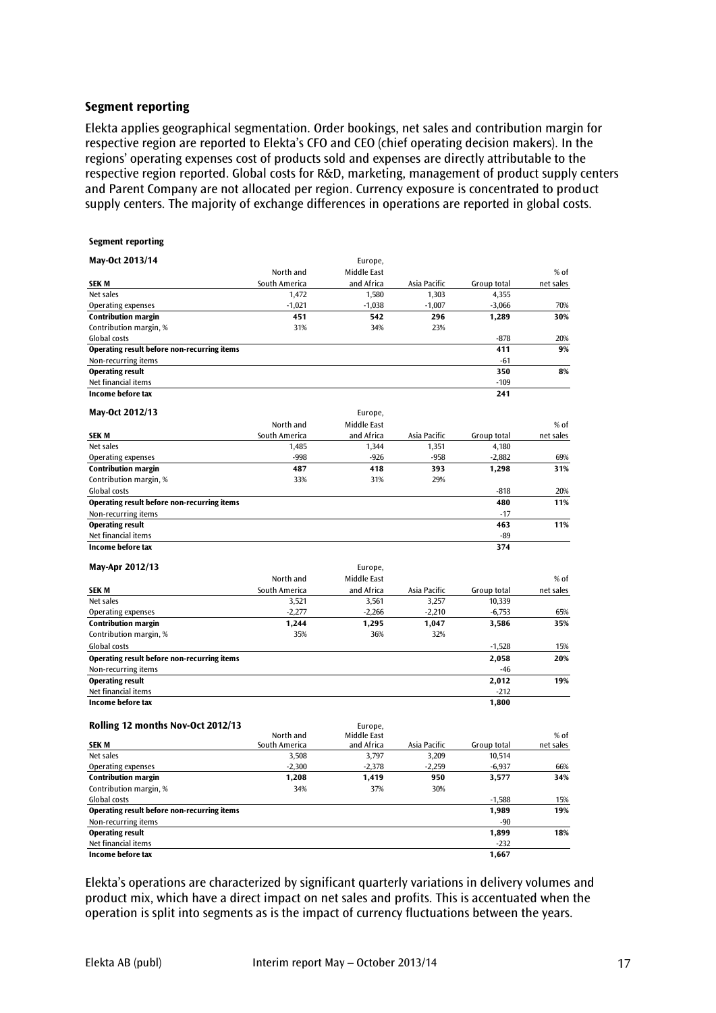#### **Segment reporting**

Elekta applies geographical segmentation. Order bookings, net sales and contribution margin for respective region are reported to Elekta's CFO and CEO (chief operating decision makers). In the regions' operating expenses cost of products sold and expenses are directly attributable to the respective region reported. Global costs for R&D, marketing, management of product supply centers and Parent Company are not allocated per region. Currency exposure is concentrated to product supply centers. The majority of exchange differences in operations are reported in global costs.

| May-Oct 2013/14<br>Europe,<br>$%$ of<br>North and<br>Middle East<br><b>SEKM</b><br>South America<br>and Africa<br>Asia Pacific<br>Group total<br>net sales<br>Net sales<br>1,303<br>4,355<br>1,472<br>1,580<br>$-1,007$<br><b>Operating expenses</b><br>$-1,021$<br>$-1,038$<br>$-3,066$<br>70%<br>30%<br><b>Contribution margin</b><br>451<br>1,289<br>542<br>296<br>Contribution margin, %<br>31%<br>34%<br>23%<br>Global costs<br>$-878$<br>20%<br>411<br>9%<br>Operating result before non-recurring items<br>Non-recurring items<br>-61<br>350<br>8%<br><b>Operating result</b><br>$-109$<br>Net financial items<br>Income before tax<br>241<br>May-Oct 2012/13<br>Europe,<br>North and<br>Middle East<br>% of<br>South America<br>and Africa<br>Group total<br>net sales<br><b>SEK M</b><br>Asia Pacific<br>Net sales<br>1,485<br>1,344<br>1,351<br>4,180<br>$-998$<br>$-926$<br>$-958$<br>$-2,882$<br>69%<br>Operating expenses<br>487<br>31%<br><b>Contribution margin</b><br>418<br>393<br>1,298<br>Contribution margin, %<br>33%<br>31%<br>29%<br>Global costs<br>20%<br>$-818$<br>Operating result before non-recurring items<br>480<br>11%<br>Non-recurring items<br>$-17$<br><b>Operating result</b><br>11%<br>463<br>Net financial items<br>-89<br>Income before tax<br>374<br>May-Apr 2012/13<br>Europe,<br>North and<br>Middle East<br>% of<br>Asia Pacific<br><b>SEKM</b><br>South America<br>and Africa<br>Group total<br>net sales<br>Net sales<br>3,521<br>3,561<br>3,257<br>10,339<br>$-2,277$<br>$-2,266$<br>$-2,210$<br>Operating expenses<br>$-6,753$<br>65%<br><b>Contribution margin</b><br>1,244<br>1,295<br>1,047<br>3,586<br>35%<br>Contribution margin, %<br>35%<br>36%<br>32%<br>Global costs<br>$-1,528$<br>15%<br>Operating result before non-recurring items<br>2,058<br>20%<br>Non-recurring items<br>$-46$<br><b>Operating result</b><br>2,012<br>19%<br>Net financial items<br>$-212$<br>Income before tax<br>1,800<br>Rolling 12 months Nov-Oct 2012/13<br>Europe,<br>North and<br>Middle East<br>% of<br>Group total<br><b>SEKM</b><br>South America<br>and Africa<br>Asia Pacific<br>net sales<br>Net sales<br>3,508<br>3,797<br>3,209<br>10,514<br>$-2,259$<br>$-2,300$<br>$-2,378$<br>$-6,937$<br><b>Operating expenses</b><br>66%<br>950<br><b>Contribution margin</b><br>1,208<br>1,419<br>3,577<br>34%<br>34%<br>37%<br>30%<br>Contribution margin, %<br>Global costs<br>$-1,588$<br>15%<br>19%<br><b>Operating result before non-recurring items</b><br>1,989<br>Non-recurring items<br>$-90$<br>18%<br><b>Operating result</b><br>1,899<br>Net financial items<br>$-232$ | <b>Segment reporting</b> |  |       |  |
|-------------------------------------------------------------------------------------------------------------------------------------------------------------------------------------------------------------------------------------------------------------------------------------------------------------------------------------------------------------------------------------------------------------------------------------------------------------------------------------------------------------------------------------------------------------------------------------------------------------------------------------------------------------------------------------------------------------------------------------------------------------------------------------------------------------------------------------------------------------------------------------------------------------------------------------------------------------------------------------------------------------------------------------------------------------------------------------------------------------------------------------------------------------------------------------------------------------------------------------------------------------------------------------------------------------------------------------------------------------------------------------------------------------------------------------------------------------------------------------------------------------------------------------------------------------------------------------------------------------------------------------------------------------------------------------------------------------------------------------------------------------------------------------------------------------------------------------------------------------------------------------------------------------------------------------------------------------------------------------------------------------------------------------------------------------------------------------------------------------------------------------------------------------------------------------------------------------------------------------------------------------------------------------------------------------------------------------------------------------------------------------------------------------------------------------------------------------------------------------------------------------------------------------------------------------------------------------------------------------------------|--------------------------|--|-------|--|
|                                                                                                                                                                                                                                                                                                                                                                                                                                                                                                                                                                                                                                                                                                                                                                                                                                                                                                                                                                                                                                                                                                                                                                                                                                                                                                                                                                                                                                                                                                                                                                                                                                                                                                                                                                                                                                                                                                                                                                                                                                                                                                                                                                                                                                                                                                                                                                                                                                                                                                                                                                                                                         |                          |  |       |  |
|                                                                                                                                                                                                                                                                                                                                                                                                                                                                                                                                                                                                                                                                                                                                                                                                                                                                                                                                                                                                                                                                                                                                                                                                                                                                                                                                                                                                                                                                                                                                                                                                                                                                                                                                                                                                                                                                                                                                                                                                                                                                                                                                                                                                                                                                                                                                                                                                                                                                                                                                                                                                                         |                          |  |       |  |
|                                                                                                                                                                                                                                                                                                                                                                                                                                                                                                                                                                                                                                                                                                                                                                                                                                                                                                                                                                                                                                                                                                                                                                                                                                                                                                                                                                                                                                                                                                                                                                                                                                                                                                                                                                                                                                                                                                                                                                                                                                                                                                                                                                                                                                                                                                                                                                                                                                                                                                                                                                                                                         |                          |  |       |  |
|                                                                                                                                                                                                                                                                                                                                                                                                                                                                                                                                                                                                                                                                                                                                                                                                                                                                                                                                                                                                                                                                                                                                                                                                                                                                                                                                                                                                                                                                                                                                                                                                                                                                                                                                                                                                                                                                                                                                                                                                                                                                                                                                                                                                                                                                                                                                                                                                                                                                                                                                                                                                                         |                          |  |       |  |
|                                                                                                                                                                                                                                                                                                                                                                                                                                                                                                                                                                                                                                                                                                                                                                                                                                                                                                                                                                                                                                                                                                                                                                                                                                                                                                                                                                                                                                                                                                                                                                                                                                                                                                                                                                                                                                                                                                                                                                                                                                                                                                                                                                                                                                                                                                                                                                                                                                                                                                                                                                                                                         |                          |  |       |  |
|                                                                                                                                                                                                                                                                                                                                                                                                                                                                                                                                                                                                                                                                                                                                                                                                                                                                                                                                                                                                                                                                                                                                                                                                                                                                                                                                                                                                                                                                                                                                                                                                                                                                                                                                                                                                                                                                                                                                                                                                                                                                                                                                                                                                                                                                                                                                                                                                                                                                                                                                                                                                                         |                          |  |       |  |
|                                                                                                                                                                                                                                                                                                                                                                                                                                                                                                                                                                                                                                                                                                                                                                                                                                                                                                                                                                                                                                                                                                                                                                                                                                                                                                                                                                                                                                                                                                                                                                                                                                                                                                                                                                                                                                                                                                                                                                                                                                                                                                                                                                                                                                                                                                                                                                                                                                                                                                                                                                                                                         |                          |  |       |  |
|                                                                                                                                                                                                                                                                                                                                                                                                                                                                                                                                                                                                                                                                                                                                                                                                                                                                                                                                                                                                                                                                                                                                                                                                                                                                                                                                                                                                                                                                                                                                                                                                                                                                                                                                                                                                                                                                                                                                                                                                                                                                                                                                                                                                                                                                                                                                                                                                                                                                                                                                                                                                                         |                          |  |       |  |
|                                                                                                                                                                                                                                                                                                                                                                                                                                                                                                                                                                                                                                                                                                                                                                                                                                                                                                                                                                                                                                                                                                                                                                                                                                                                                                                                                                                                                                                                                                                                                                                                                                                                                                                                                                                                                                                                                                                                                                                                                                                                                                                                                                                                                                                                                                                                                                                                                                                                                                                                                                                                                         |                          |  |       |  |
|                                                                                                                                                                                                                                                                                                                                                                                                                                                                                                                                                                                                                                                                                                                                                                                                                                                                                                                                                                                                                                                                                                                                                                                                                                                                                                                                                                                                                                                                                                                                                                                                                                                                                                                                                                                                                                                                                                                                                                                                                                                                                                                                                                                                                                                                                                                                                                                                                                                                                                                                                                                                                         |                          |  |       |  |
|                                                                                                                                                                                                                                                                                                                                                                                                                                                                                                                                                                                                                                                                                                                                                                                                                                                                                                                                                                                                                                                                                                                                                                                                                                                                                                                                                                                                                                                                                                                                                                                                                                                                                                                                                                                                                                                                                                                                                                                                                                                                                                                                                                                                                                                                                                                                                                                                                                                                                                                                                                                                                         |                          |  |       |  |
|                                                                                                                                                                                                                                                                                                                                                                                                                                                                                                                                                                                                                                                                                                                                                                                                                                                                                                                                                                                                                                                                                                                                                                                                                                                                                                                                                                                                                                                                                                                                                                                                                                                                                                                                                                                                                                                                                                                                                                                                                                                                                                                                                                                                                                                                                                                                                                                                                                                                                                                                                                                                                         |                          |  |       |  |
|                                                                                                                                                                                                                                                                                                                                                                                                                                                                                                                                                                                                                                                                                                                                                                                                                                                                                                                                                                                                                                                                                                                                                                                                                                                                                                                                                                                                                                                                                                                                                                                                                                                                                                                                                                                                                                                                                                                                                                                                                                                                                                                                                                                                                                                                                                                                                                                                                                                                                                                                                                                                                         |                          |  |       |  |
|                                                                                                                                                                                                                                                                                                                                                                                                                                                                                                                                                                                                                                                                                                                                                                                                                                                                                                                                                                                                                                                                                                                                                                                                                                                                                                                                                                                                                                                                                                                                                                                                                                                                                                                                                                                                                                                                                                                                                                                                                                                                                                                                                                                                                                                                                                                                                                                                                                                                                                                                                                                                                         |                          |  |       |  |
|                                                                                                                                                                                                                                                                                                                                                                                                                                                                                                                                                                                                                                                                                                                                                                                                                                                                                                                                                                                                                                                                                                                                                                                                                                                                                                                                                                                                                                                                                                                                                                                                                                                                                                                                                                                                                                                                                                                                                                                                                                                                                                                                                                                                                                                                                                                                                                                                                                                                                                                                                                                                                         |                          |  |       |  |
|                                                                                                                                                                                                                                                                                                                                                                                                                                                                                                                                                                                                                                                                                                                                                                                                                                                                                                                                                                                                                                                                                                                                                                                                                                                                                                                                                                                                                                                                                                                                                                                                                                                                                                                                                                                                                                                                                                                                                                                                                                                                                                                                                                                                                                                                                                                                                                                                                                                                                                                                                                                                                         |                          |  |       |  |
|                                                                                                                                                                                                                                                                                                                                                                                                                                                                                                                                                                                                                                                                                                                                                                                                                                                                                                                                                                                                                                                                                                                                                                                                                                                                                                                                                                                                                                                                                                                                                                                                                                                                                                                                                                                                                                                                                                                                                                                                                                                                                                                                                                                                                                                                                                                                                                                                                                                                                                                                                                                                                         |                          |  |       |  |
|                                                                                                                                                                                                                                                                                                                                                                                                                                                                                                                                                                                                                                                                                                                                                                                                                                                                                                                                                                                                                                                                                                                                                                                                                                                                                                                                                                                                                                                                                                                                                                                                                                                                                                                                                                                                                                                                                                                                                                                                                                                                                                                                                                                                                                                                                                                                                                                                                                                                                                                                                                                                                         |                          |  |       |  |
|                                                                                                                                                                                                                                                                                                                                                                                                                                                                                                                                                                                                                                                                                                                                                                                                                                                                                                                                                                                                                                                                                                                                                                                                                                                                                                                                                                                                                                                                                                                                                                                                                                                                                                                                                                                                                                                                                                                                                                                                                                                                                                                                                                                                                                                                                                                                                                                                                                                                                                                                                                                                                         |                          |  |       |  |
|                                                                                                                                                                                                                                                                                                                                                                                                                                                                                                                                                                                                                                                                                                                                                                                                                                                                                                                                                                                                                                                                                                                                                                                                                                                                                                                                                                                                                                                                                                                                                                                                                                                                                                                                                                                                                                                                                                                                                                                                                                                                                                                                                                                                                                                                                                                                                                                                                                                                                                                                                                                                                         |                          |  |       |  |
|                                                                                                                                                                                                                                                                                                                                                                                                                                                                                                                                                                                                                                                                                                                                                                                                                                                                                                                                                                                                                                                                                                                                                                                                                                                                                                                                                                                                                                                                                                                                                                                                                                                                                                                                                                                                                                                                                                                                                                                                                                                                                                                                                                                                                                                                                                                                                                                                                                                                                                                                                                                                                         |                          |  |       |  |
|                                                                                                                                                                                                                                                                                                                                                                                                                                                                                                                                                                                                                                                                                                                                                                                                                                                                                                                                                                                                                                                                                                                                                                                                                                                                                                                                                                                                                                                                                                                                                                                                                                                                                                                                                                                                                                                                                                                                                                                                                                                                                                                                                                                                                                                                                                                                                                                                                                                                                                                                                                                                                         |                          |  |       |  |
|                                                                                                                                                                                                                                                                                                                                                                                                                                                                                                                                                                                                                                                                                                                                                                                                                                                                                                                                                                                                                                                                                                                                                                                                                                                                                                                                                                                                                                                                                                                                                                                                                                                                                                                                                                                                                                                                                                                                                                                                                                                                                                                                                                                                                                                                                                                                                                                                                                                                                                                                                                                                                         |                          |  |       |  |
|                                                                                                                                                                                                                                                                                                                                                                                                                                                                                                                                                                                                                                                                                                                                                                                                                                                                                                                                                                                                                                                                                                                                                                                                                                                                                                                                                                                                                                                                                                                                                                                                                                                                                                                                                                                                                                                                                                                                                                                                                                                                                                                                                                                                                                                                                                                                                                                                                                                                                                                                                                                                                         |                          |  |       |  |
|                                                                                                                                                                                                                                                                                                                                                                                                                                                                                                                                                                                                                                                                                                                                                                                                                                                                                                                                                                                                                                                                                                                                                                                                                                                                                                                                                                                                                                                                                                                                                                                                                                                                                                                                                                                                                                                                                                                                                                                                                                                                                                                                                                                                                                                                                                                                                                                                                                                                                                                                                                                                                         |                          |  |       |  |
|                                                                                                                                                                                                                                                                                                                                                                                                                                                                                                                                                                                                                                                                                                                                                                                                                                                                                                                                                                                                                                                                                                                                                                                                                                                                                                                                                                                                                                                                                                                                                                                                                                                                                                                                                                                                                                                                                                                                                                                                                                                                                                                                                                                                                                                                                                                                                                                                                                                                                                                                                                                                                         |                          |  |       |  |
|                                                                                                                                                                                                                                                                                                                                                                                                                                                                                                                                                                                                                                                                                                                                                                                                                                                                                                                                                                                                                                                                                                                                                                                                                                                                                                                                                                                                                                                                                                                                                                                                                                                                                                                                                                                                                                                                                                                                                                                                                                                                                                                                                                                                                                                                                                                                                                                                                                                                                                                                                                                                                         |                          |  |       |  |
|                                                                                                                                                                                                                                                                                                                                                                                                                                                                                                                                                                                                                                                                                                                                                                                                                                                                                                                                                                                                                                                                                                                                                                                                                                                                                                                                                                                                                                                                                                                                                                                                                                                                                                                                                                                                                                                                                                                                                                                                                                                                                                                                                                                                                                                                                                                                                                                                                                                                                                                                                                                                                         |                          |  |       |  |
|                                                                                                                                                                                                                                                                                                                                                                                                                                                                                                                                                                                                                                                                                                                                                                                                                                                                                                                                                                                                                                                                                                                                                                                                                                                                                                                                                                                                                                                                                                                                                                                                                                                                                                                                                                                                                                                                                                                                                                                                                                                                                                                                                                                                                                                                                                                                                                                                                                                                                                                                                                                                                         |                          |  |       |  |
|                                                                                                                                                                                                                                                                                                                                                                                                                                                                                                                                                                                                                                                                                                                                                                                                                                                                                                                                                                                                                                                                                                                                                                                                                                                                                                                                                                                                                                                                                                                                                                                                                                                                                                                                                                                                                                                                                                                                                                                                                                                                                                                                                                                                                                                                                                                                                                                                                                                                                                                                                                                                                         |                          |  |       |  |
|                                                                                                                                                                                                                                                                                                                                                                                                                                                                                                                                                                                                                                                                                                                                                                                                                                                                                                                                                                                                                                                                                                                                                                                                                                                                                                                                                                                                                                                                                                                                                                                                                                                                                                                                                                                                                                                                                                                                                                                                                                                                                                                                                                                                                                                                                                                                                                                                                                                                                                                                                                                                                         |                          |  |       |  |
|                                                                                                                                                                                                                                                                                                                                                                                                                                                                                                                                                                                                                                                                                                                                                                                                                                                                                                                                                                                                                                                                                                                                                                                                                                                                                                                                                                                                                                                                                                                                                                                                                                                                                                                                                                                                                                                                                                                                                                                                                                                                                                                                                                                                                                                                                                                                                                                                                                                                                                                                                                                                                         |                          |  |       |  |
|                                                                                                                                                                                                                                                                                                                                                                                                                                                                                                                                                                                                                                                                                                                                                                                                                                                                                                                                                                                                                                                                                                                                                                                                                                                                                                                                                                                                                                                                                                                                                                                                                                                                                                                                                                                                                                                                                                                                                                                                                                                                                                                                                                                                                                                                                                                                                                                                                                                                                                                                                                                                                         |                          |  |       |  |
|                                                                                                                                                                                                                                                                                                                                                                                                                                                                                                                                                                                                                                                                                                                                                                                                                                                                                                                                                                                                                                                                                                                                                                                                                                                                                                                                                                                                                                                                                                                                                                                                                                                                                                                                                                                                                                                                                                                                                                                                                                                                                                                                                                                                                                                                                                                                                                                                                                                                                                                                                                                                                         |                          |  |       |  |
|                                                                                                                                                                                                                                                                                                                                                                                                                                                                                                                                                                                                                                                                                                                                                                                                                                                                                                                                                                                                                                                                                                                                                                                                                                                                                                                                                                                                                                                                                                                                                                                                                                                                                                                                                                                                                                                                                                                                                                                                                                                                                                                                                                                                                                                                                                                                                                                                                                                                                                                                                                                                                         |                          |  |       |  |
|                                                                                                                                                                                                                                                                                                                                                                                                                                                                                                                                                                                                                                                                                                                                                                                                                                                                                                                                                                                                                                                                                                                                                                                                                                                                                                                                                                                                                                                                                                                                                                                                                                                                                                                                                                                                                                                                                                                                                                                                                                                                                                                                                                                                                                                                                                                                                                                                                                                                                                                                                                                                                         |                          |  |       |  |
|                                                                                                                                                                                                                                                                                                                                                                                                                                                                                                                                                                                                                                                                                                                                                                                                                                                                                                                                                                                                                                                                                                                                                                                                                                                                                                                                                                                                                                                                                                                                                                                                                                                                                                                                                                                                                                                                                                                                                                                                                                                                                                                                                                                                                                                                                                                                                                                                                                                                                                                                                                                                                         |                          |  |       |  |
|                                                                                                                                                                                                                                                                                                                                                                                                                                                                                                                                                                                                                                                                                                                                                                                                                                                                                                                                                                                                                                                                                                                                                                                                                                                                                                                                                                                                                                                                                                                                                                                                                                                                                                                                                                                                                                                                                                                                                                                                                                                                                                                                                                                                                                                                                                                                                                                                                                                                                                                                                                                                                         |                          |  |       |  |
|                                                                                                                                                                                                                                                                                                                                                                                                                                                                                                                                                                                                                                                                                                                                                                                                                                                                                                                                                                                                                                                                                                                                                                                                                                                                                                                                                                                                                                                                                                                                                                                                                                                                                                                                                                                                                                                                                                                                                                                                                                                                                                                                                                                                                                                                                                                                                                                                                                                                                                                                                                                                                         |                          |  |       |  |
|                                                                                                                                                                                                                                                                                                                                                                                                                                                                                                                                                                                                                                                                                                                                                                                                                                                                                                                                                                                                                                                                                                                                                                                                                                                                                                                                                                                                                                                                                                                                                                                                                                                                                                                                                                                                                                                                                                                                                                                                                                                                                                                                                                                                                                                                                                                                                                                                                                                                                                                                                                                                                         |                          |  |       |  |
|                                                                                                                                                                                                                                                                                                                                                                                                                                                                                                                                                                                                                                                                                                                                                                                                                                                                                                                                                                                                                                                                                                                                                                                                                                                                                                                                                                                                                                                                                                                                                                                                                                                                                                                                                                                                                                                                                                                                                                                                                                                                                                                                                                                                                                                                                                                                                                                                                                                                                                                                                                                                                         |                          |  |       |  |
|                                                                                                                                                                                                                                                                                                                                                                                                                                                                                                                                                                                                                                                                                                                                                                                                                                                                                                                                                                                                                                                                                                                                                                                                                                                                                                                                                                                                                                                                                                                                                                                                                                                                                                                                                                                                                                                                                                                                                                                                                                                                                                                                                                                                                                                                                                                                                                                                                                                                                                                                                                                                                         |                          |  |       |  |
|                                                                                                                                                                                                                                                                                                                                                                                                                                                                                                                                                                                                                                                                                                                                                                                                                                                                                                                                                                                                                                                                                                                                                                                                                                                                                                                                                                                                                                                                                                                                                                                                                                                                                                                                                                                                                                                                                                                                                                                                                                                                                                                                                                                                                                                                                                                                                                                                                                                                                                                                                                                                                         |                          |  |       |  |
|                                                                                                                                                                                                                                                                                                                                                                                                                                                                                                                                                                                                                                                                                                                                                                                                                                                                                                                                                                                                                                                                                                                                                                                                                                                                                                                                                                                                                                                                                                                                                                                                                                                                                                                                                                                                                                                                                                                                                                                                                                                                                                                                                                                                                                                                                                                                                                                                                                                                                                                                                                                                                         |                          |  |       |  |
|                                                                                                                                                                                                                                                                                                                                                                                                                                                                                                                                                                                                                                                                                                                                                                                                                                                                                                                                                                                                                                                                                                                                                                                                                                                                                                                                                                                                                                                                                                                                                                                                                                                                                                                                                                                                                                                                                                                                                                                                                                                                                                                                                                                                                                                                                                                                                                                                                                                                                                                                                                                                                         |                          |  |       |  |
|                                                                                                                                                                                                                                                                                                                                                                                                                                                                                                                                                                                                                                                                                                                                                                                                                                                                                                                                                                                                                                                                                                                                                                                                                                                                                                                                                                                                                                                                                                                                                                                                                                                                                                                                                                                                                                                                                                                                                                                                                                                                                                                                                                                                                                                                                                                                                                                                                                                                                                                                                                                                                         |                          |  |       |  |
|                                                                                                                                                                                                                                                                                                                                                                                                                                                                                                                                                                                                                                                                                                                                                                                                                                                                                                                                                                                                                                                                                                                                                                                                                                                                                                                                                                                                                                                                                                                                                                                                                                                                                                                                                                                                                                                                                                                                                                                                                                                                                                                                                                                                                                                                                                                                                                                                                                                                                                                                                                                                                         |                          |  |       |  |
|                                                                                                                                                                                                                                                                                                                                                                                                                                                                                                                                                                                                                                                                                                                                                                                                                                                                                                                                                                                                                                                                                                                                                                                                                                                                                                                                                                                                                                                                                                                                                                                                                                                                                                                                                                                                                                                                                                                                                                                                                                                                                                                                                                                                                                                                                                                                                                                                                                                                                                                                                                                                                         |                          |  |       |  |
|                                                                                                                                                                                                                                                                                                                                                                                                                                                                                                                                                                                                                                                                                                                                                                                                                                                                                                                                                                                                                                                                                                                                                                                                                                                                                                                                                                                                                                                                                                                                                                                                                                                                                                                                                                                                                                                                                                                                                                                                                                                                                                                                                                                                                                                                                                                                                                                                                                                                                                                                                                                                                         |                          |  |       |  |
|                                                                                                                                                                                                                                                                                                                                                                                                                                                                                                                                                                                                                                                                                                                                                                                                                                                                                                                                                                                                                                                                                                                                                                                                                                                                                                                                                                                                                                                                                                                                                                                                                                                                                                                                                                                                                                                                                                                                                                                                                                                                                                                                                                                                                                                                                                                                                                                                                                                                                                                                                                                                                         |                          |  |       |  |
|                                                                                                                                                                                                                                                                                                                                                                                                                                                                                                                                                                                                                                                                                                                                                                                                                                                                                                                                                                                                                                                                                                                                                                                                                                                                                                                                                                                                                                                                                                                                                                                                                                                                                                                                                                                                                                                                                                                                                                                                                                                                                                                                                                                                                                                                                                                                                                                                                                                                                                                                                                                                                         |                          |  |       |  |
|                                                                                                                                                                                                                                                                                                                                                                                                                                                                                                                                                                                                                                                                                                                                                                                                                                                                                                                                                                                                                                                                                                                                                                                                                                                                                                                                                                                                                                                                                                                                                                                                                                                                                                                                                                                                                                                                                                                                                                                                                                                                                                                                                                                                                                                                                                                                                                                                                                                                                                                                                                                                                         |                          |  |       |  |
|                                                                                                                                                                                                                                                                                                                                                                                                                                                                                                                                                                                                                                                                                                                                                                                                                                                                                                                                                                                                                                                                                                                                                                                                                                                                                                                                                                                                                                                                                                                                                                                                                                                                                                                                                                                                                                                                                                                                                                                                                                                                                                                                                                                                                                                                                                                                                                                                                                                                                                                                                                                                                         | Income before tax        |  | 1,667 |  |

Elekta's operations are characterized by significant quarterly variations in delivery volumes and product mix, which have a direct impact on net sales and profits. This is accentuated when the operation is split into segments as is the impact of currency fluctuations between the years.